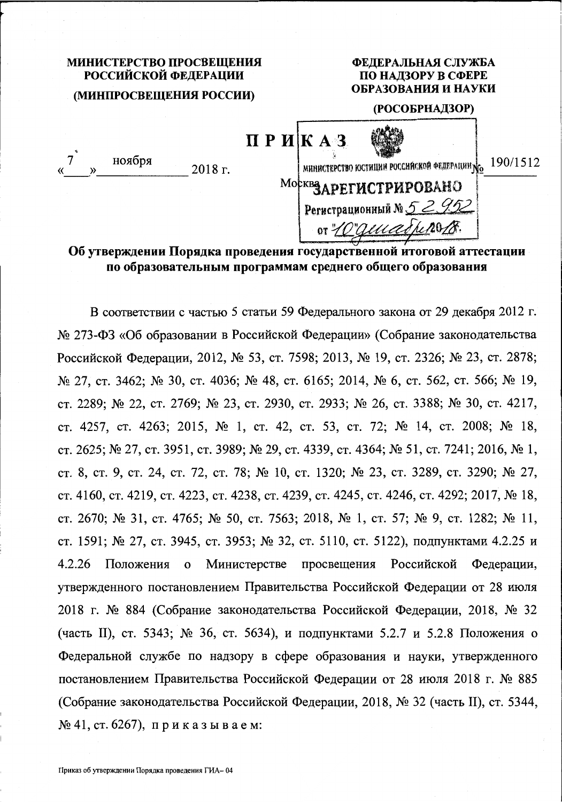# МИНИСТЕРСТВО ПРОСВЕЩЕНИЯ РОССИЙСКОЙ ФЕДЕРАЦИИ (МИНПРОСВЕЩЕНИЯ РОССИИ)

### ФЕДЕРАЛЬНАЯ СЛУЖБА ПО НАДЗОРУ В СФЕРЕ ОБРАЗОВАНИЯ И НАУКИ

#### (РОСОБРНАДЗОР)

| 巜 | ноября | 2018 г. | ПРИКАЗ | министерство юстиции российской федерации No | 190/1512 |
|---|--------|---------|--------|----------------------------------------------|----------|
|   |        |         |        | Москвадрегистрировано                        |          |
|   |        |         |        | Perистрационный № 52952                      |          |
|   |        |         |        | or "Lo"quiadresses.                          |          |

Об утверждении Порядка проведения государственной итоговой аттестации по образовательным программам среднего общего образования

В соответствии с частью 5 статьи 59 Федерального закона от 29 декабря 2012 г. № 273-ФЗ «Об образовании в Российской Федерации» (Собрание законодательства Российской Федерации, 2012, № 53, ст. 7598; 2013, № 19, ст. 2326; № 23, ст. 2878; № 27, ст. 3462; № 30, ст. 4036; № 48, ст. 6165; 2014, № 6, ст. 562, ст. 566; № 19, ст. 2289; № 22, ст. 2769; № 23, ст. 2930, ст. 2933; № 26, ст. 3388; № 30, ст. 4217, ст. 4257, ст. 4263; 2015, № 1, ст. 42, ст. 53, ст. 72; № 14, ст. 2008; № 18, ст. 2625; № 27, ст. 3951, ст. 3989; № 29, ст. 4339, ст. 4364; № 51, ст. 7241; 2016, № 1, ст. 8, ст. 9, ст. 24, ст. 72, ст. 78; № 10, ст. 1320; № 23, ст. 3289, ст. 3290; № 27, ст. 4160, ст. 4219, ст. 4223, ст. 4238, ст. 4239, ст. 4245, ст. 4246, ст. 4292; 2017, № 18, ст. 2670; № 31, ст. 4765; № 50, ст. 7563; 2018, № 1, ст. 57; № 9, ст. 1282; № 11, ст. 1591; № 27, ст. 3945, ст. 3953; № 32, ст. 5110, ст. 5122), подпунктами 4.2.25 и просвещения Российской 4.2.26 Министерстве Федерации, Положения  $\mathbf{o}$ утвержденного постановлением Правительства Российской Федерации от 28 июля 2018 г. № 884 (Собрание законодательства Российской Федерации, 2018, № 32 (часть II), ст. 5343; № 36, ст. 5634), и подпунктами 5.2.7 и 5.2.8 Положения о Федеральной службе по надзору в сфере образования и науки, утвержденного постановлением Правительства Российской Федерации от 28 июля 2018 г. № 885 (Собрание законодательства Российской Федерации, 2018, № 32 (часть II), ст. 5344,  $\mathcal{N}$  241, ст. 6267), приказываем: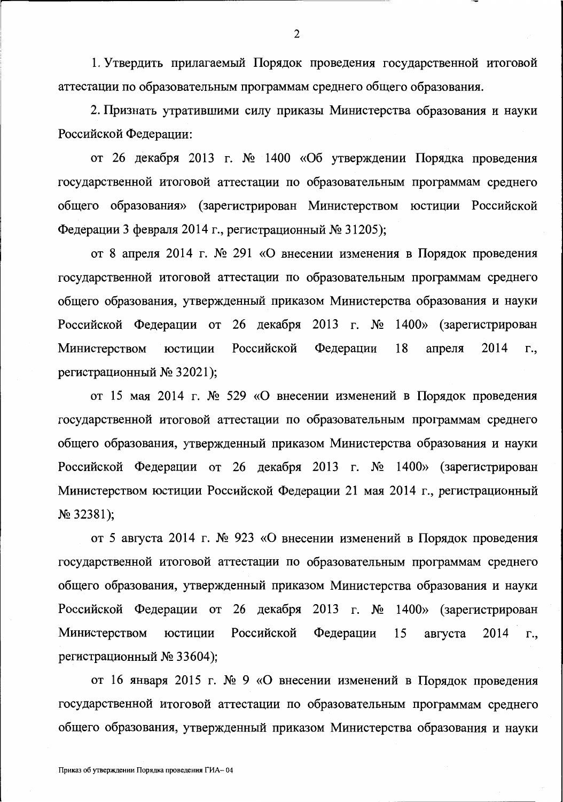1. Утвердить прилагаемый Порядок проведения государственной итоговой аттестации по образовательным программам среднего общего образования.

2. Признать утратившими силу приказы Министерства образования и науки Российской Федерации:

от 26 декабря 2013 г. № 1400 «Об утверждении Порядка проведения государственной итоговой аттестации по образовательным программам среднего общего образования» (зарегистрирован Министерством юстиции Российской Федерации 3 февраля 2014 г., регистрационный № 31205);

от 8 апреля 2014 г. № 291 «О внесении изменения в Порядок проведения государственной итоговой аттестации по образовательным программам среднего общего образования, утвержденный приказом Министерства образования и науки Российской Федерации от 26 декабря 2013 г. № 1400» (зарегистрирован Российской 18 2014 Министерством юстиции Федерации апреля Г., регистрационный № 32021);

от 15 мая 2014 г. № 529 «О внесении изменений в Порядок проведения государственной итоговой аттестации по образовательным программам среднего общего образования, утвержденный приказом Министерства образования и науки Российской Федерации от 26 декабря 2013 г. № 1400» (зарегистрирован Министерством юстиции Российской Федерации 21 мая 2014 г., регистрационный  $N<sub>2</sub>$  32381);

от 5 августа 2014 г. № 923 «О внесении изменений в Порядок проведения государственной итоговой аттестации по образовательным программам среднего общего образования, утвержденный приказом Министерства образования и науки Российской Федерации от 26 декабря 2013 г. № 1400» (зарегистрирован Министерством юстиции Российской Федерации 15 августа 2014  $\Gamma_{\cdot}$ регистрационный № 33604);

от 16 января 2015 г. № 9 «О внесении изменений в Порядок проведения государственной итоговой аттестации по образовательным программам среднего общего образования, утвержденный приказом Министерства образования и науки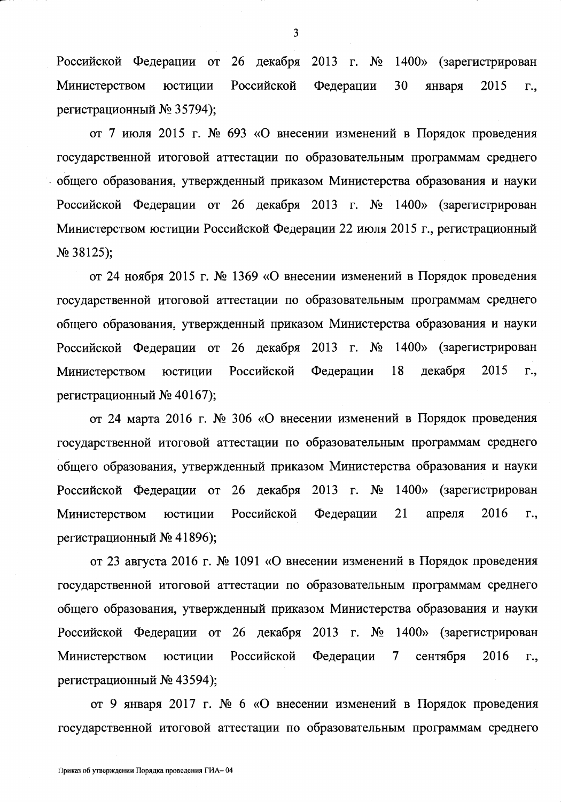Российской Федерации от 26 декабря 2013 г. № Министерством юстиции Российской Федерации регистрационный № 35794); 1400» (зарегистрирован 30 января 2015 г.,

от 7 июля 2015 г. № 693 «О внесении изменений в Порядок проведения государственной итоговой аттестации по образовательным программам среднего общего образования, утвержденный приказом Министерства образования и науки Российской Федерации от 26 декабря 2013 г. № 1400» (зарегистрирован Министерством юстиции Российской Федерации 22 июля 2015 г., регистрационный  $N<sub>2</sub>$  38125);

от 24 ноября 2015 г. № 1369 «О внесении изменений в Порядок проведения государственной итоговой аттестации по образовательным программам среднего общего образования, утвержденный приказом Министерства образования и науки Российской Федерации от 26 декабря 2013 г. № 1400» (зарегистрирован Министерством юстиции Российской Федерации 18 декабря 2015 г., регистрационный № 40167);

от 24 марта 2016 г. № 306 «О внесении изменений в Порядок проведения государственной итоговой аттестации по образовательным программам среднего общего образования, утвержденный приказом Министерства образования и науки Российской Федерации от 26 декабря 2013 г. № 1400» (зарегистрирован Министерством юстиции Российской Федерации 21 апреля 2016 г., регистрационный № 41896);

от 23 августа 2016 г. № 1091 «О внесении изменений в Порядок проведения государственной итоговой аттестации по образовательным программам среднего общего образования, утвержденный приказом Министерства образования и науки Российской Федерации от 26 декабря 2013 г. № 1400» (зарегистрирован Министерством юстиции Российской Федерации 7 сентября 2016 г., регистрационный № 43594);

от 9 января 2017 г. № 6 «О внесении изменений в Порядок проведения государственной итоговой аттестации по образовательным программам среднего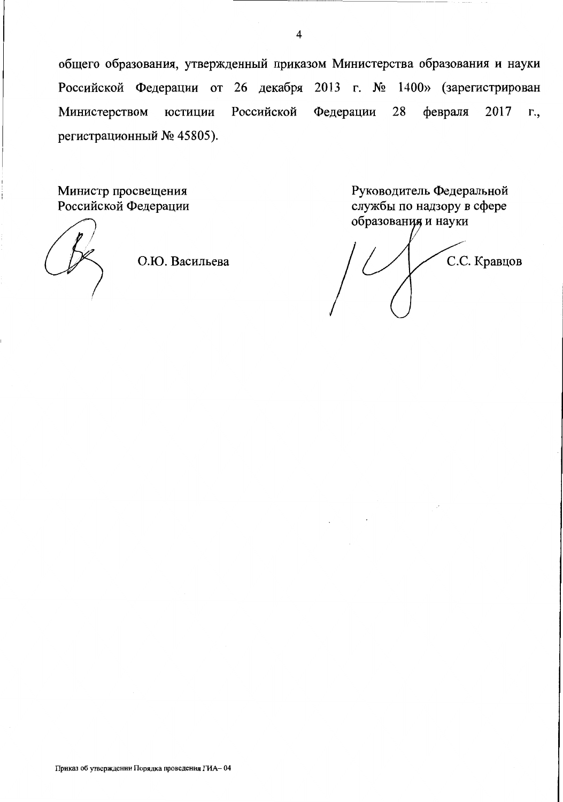общего образования, утвержденный приказом Министерства образования и науки Российской Федерации от 26 декабря 2013 г. № 1400» (зарегистрирован Федерации Министерством Российской 28 февраля 2017 юстиции Γ., регистрационный № 45805).

Министр просвещения Российской Федерации

О.Ю. Васильева

Руководитель Федеральной службы по надзору в сфере образования и науки

С.С. Кравцов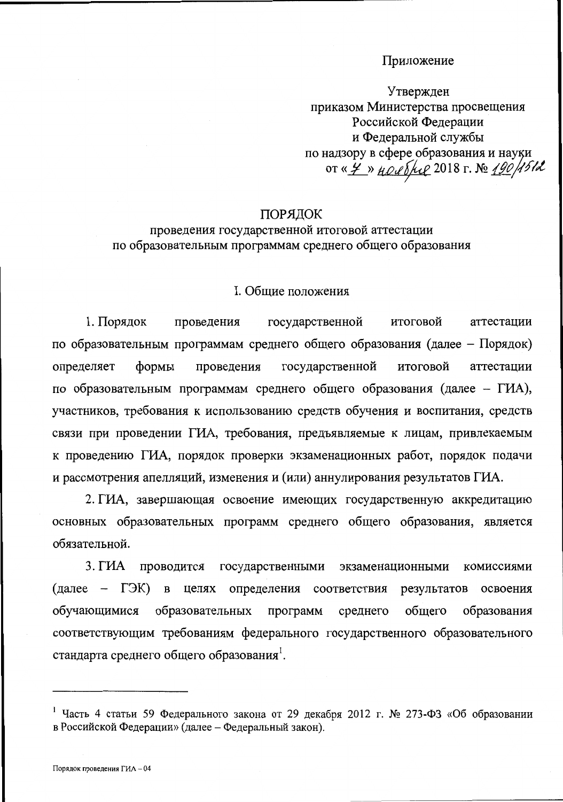#### Приложение

Утвержден приказом Министерства просвещения Российской Федерации и Федеральной службы по надзору в сфере образования и науки OT « 7 » HOLP S/2018 г. № 190/1512

#### ПОРЯДОК

# проведения государственной итоговой аттестации по образовательным программам среднего общего образования

#### I. Общие положения

государственной 1. Порядок итоговой аттестации проведения по образовательным программам среднего общего образования (далее – Порядок) проведения государственной итоговой аттестации определяет формы по образовательным программам среднего общего образования (далее – ГИА), участников, требования к использованию средств обучения и воспитания, средств связи при проведении ГИА, требования, предъявляемые к лицам, привлекаемым к проведению ГИА, порядок проверки экзаменационных работ, порядок подачи и рассмотрения апелляций, изменения и (или) аннулирования результатов ГИА.

2. ГИА, завершающая освоение имеющих государственную аккредитацию основных образовательных программ среднего общего образования, является обязательной.

 $3. \Gamma$ *HA* проводится государственными экзаменационными комиссиями  $(a \text{ance} - \text{T} \text{K})$  B целях определения результатов соответствия освоения общего обучающимися образовательных программ среднего образования соответствующим требованиям федерального государственного образовательного стандарта среднего общего образования.

<sup>&</sup>lt;sup>1</sup> Часть 4 статьи 59 Федерального закона от 29 декабря 2012 г. № 273-ФЗ «Об образовании в Российской Федерации» (далее - Федеральный закон).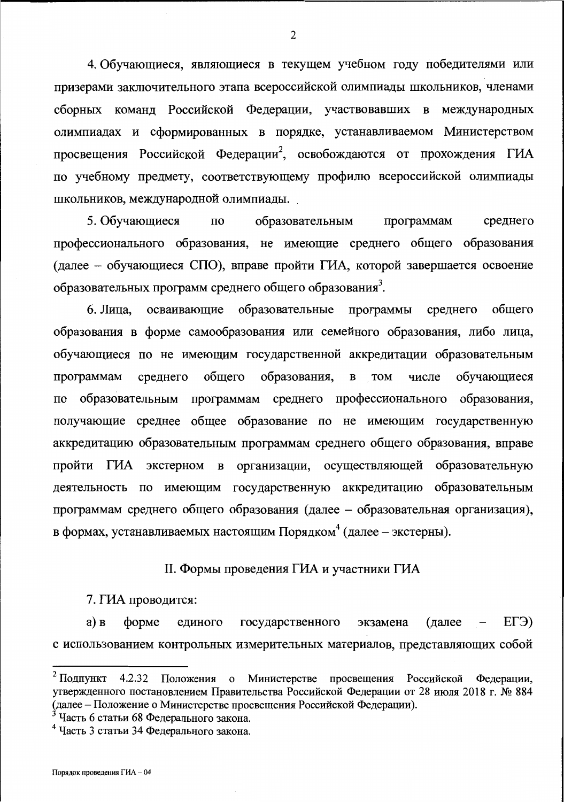4. Обучающиеся, являющиеся в текущем учебном году победителями или призерами заключительного этапа всероссийской олимпиады школьников, членами сборных команд Российской Федерации, участвовавших в международных олимпиадах и сформированных в порядке, устанавливаемом Министерством просвещения Российской Федерации<sup>2</sup>, освобождаются от прохождения ГИА по учебному предмету, соответствующему профилю всероссийской олимпиады школьников, международной олимпиады.

5. Обучающиеся  $\Pi$ <sup>O</sup> образовательным программам среднего профессионального образования, не имеющие среднего общего образования (далее - обучающиеся СПО), вправе пройти ГИА, которой завершается освоение образовательных программ среднего общего образования<sup>3</sup>.

6. Лица, осваивающие образовательные программы среднего общего образования в форме самообразования или семейного образования, либо лица, обучающиеся по не имеющим государственной аккредитации образовательным общего образования, числе обучающиеся программам среднего **B** TOM образовательным программам среднего профессионального образования,  $\overline{a}$ получающие среднее общее образование по не имеющим государственную аккредитацию образовательным программам среднего общего образования, вправе пройти ГИА экстерном в организации, осуществляющей образовательную деятельность по имеющим государственную аккредитацию образовательным программам среднего общего образования (далее - образовательная организация), в формах, устанавливаемых настоящим Порядком<sup>4</sup> (далее – экстерны).

## II. Формы проведения ГИА и участники ГИА

7. ГИА проводится:

(далее  $ET3$  $a)$   $B$  $\phi$ opme государственного экзамена единого с использованием контрольных измерительных материалов, представляющих собой

<sup>3</sup> Часть 6 статьи 68 Федерального закона.

 $\overline{2}$ 

<sup>&</sup>lt;sup>2</sup> Подпункт 4.2.32 Положения о Министерстве просвещения Российской Федерации, утвержденного постановлением Правительства Российской Федерации от 28 июля 2018 г. № 884 (далее - Положение о Министерстве просвещения Российской Федерации).

<sup>&</sup>lt;sup>4</sup> Часть 3 статьи 34 Федерального закона.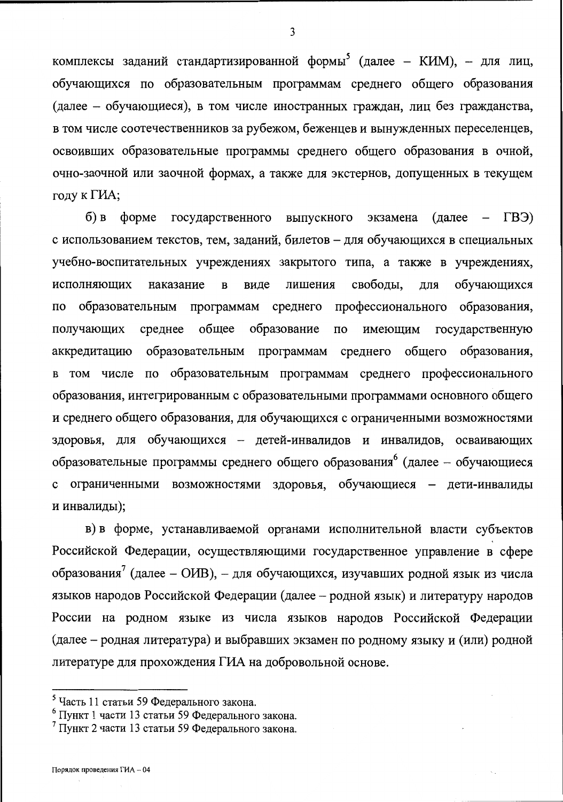комплексы заданий стандартизированной формы<sup>5</sup> (далее – КИМ), – для лиц, обучающихся по образовательным программам среднего общего образования (далее - обучающиеся), в том числе иностранных граждан, лиц без гражданства, в том числе соотечественников за рубежом, беженцев и вынужденных переселенцев, освоивших образовательные программы среднего общего образования в очной, очно-заочной или заочной формах, а также для экстернов, допущенных в текущем году к ГИА;

 $(B3)$  $6$ ) B  $\phi$ opme государственного выпускного экзамена (далее  $\overline{\phantom{0}}$ с использованием текстов, тем, заданий, билетов - для обучающихся в специальных учебно-воспитательных учреждениях закрытого типа, а также в учреждениях, исполняющих наказание  $\overline{B}$ виде лишения свободы, ДЛЯ обучающихся программам среднего профессионального образования, образовательным  $\overline{a}$ образование получающих среднее общее государственную  $\overline{10}$ имеющим образования, образовательным программам среднего общего аккредитацию в том числе по образовательным программам среднего профессионального образования, интегрированным с образовательными программами основного общего и среднего общего образования, для обучающихся с ограниченными возможностями здоровья, для обучающихся - детей-инвалидов и инвалидов, осваивающих образовательные программы среднего общего образования<sup>6</sup> (далее - обучающиеся с ограниченными возможностями здоровья, обучающиеся - дети-инвалиды и инвалиды);

в) в форме, устанавливаемой органами исполнительной власти субъектов Российской Федерации, осуществляющими государственное управление в сфере образования<sup>7</sup> (далее - ОИВ), - для обучающихся, изучавших родной язык из числа языков народов Российской Федерации (далее - родной язык) и литературу народов России на родном языке из числа языков народов Российской Федерации (далее – родная литература) и выбравших экзамен по родному языку и (или) родной литературе для прохождения ГИА на добровольной основе.

<sup>5</sup> Часть 11 статьи 59 Федерального закона.

<sup>&</sup>lt;sup>6</sup> Пункт 1 части 13 статьи 59 Федерального закона.

<sup>7</sup> Пункт 2 части 13 статьи 59 Федерального закона.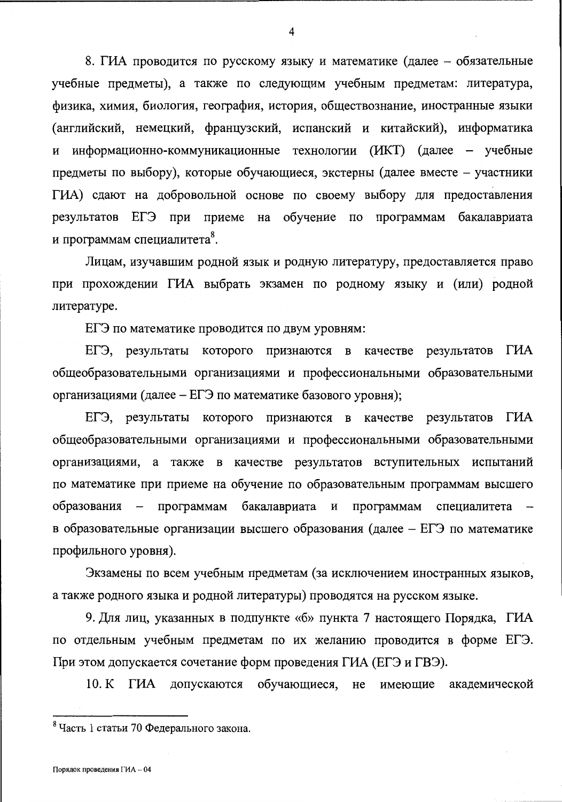8. ГИА проводится по русскому языку и математике (далее – обязательные учебные предметы), а также по следующим учебным предметам: литература, физика, химия, биология, география, история, обществознание, иностранные языки (английский, немецкий, французский, испанский и китайский), информатика и информационно-коммуникационные технологии (ИКТ) (далее – учебные предметы по выбору), которые обучающиеся, экстерны (далее вместе - участники ГИА) сдают на добровольной основе по своему выбору для предоставления результатов ЕГЭ при приеме на обучение по программам бакалавриата и программам специалитета<sup>8</sup>.

Лицам, изучавшим родной язык и родную литературу, предоставляется право при прохождении ГИА выбрать экзамен по родному языку и (или) родной литературе.

ЕГЭ по математике проводится по двум уровням:

ЕГЭ, результаты которого признаются в качестве результатов ГИА общеобразовательными организациями и профессиональными образовательными организациями (далее – ЕГЭ по математике базового уровня);

ЕГЭ, результаты которого признаются в качестве результатов ГИА общеобразовательными организациями и профессиональными образовательными организациями, а также в качестве результатов вступительных испытаний по математике при приеме на обучение по образовательным программам высшего образования – программам бакалавриата и программам специалитета в образовательные организации высшего образования (далее – ЕГЭ по математике профильного уровня).

Экзамены по всем учебным предметам (за исключением иностранных языков, а также родного языка и родной литературы) проводятся на русском языке.

9. Для лиц, указанных в подпункте «б» пункта 7 настоящего Порядка, ГИА по отдельным учебным предметам по их желанию проводится в форме ЕГЭ. При этом допускается сочетание форм проведения ГИА (ЕГЭ и ГВЭ).

10. K THA допускаются обучающиеся, не имеющие академической

<sup>&</sup>lt;sup>8</sup> Часть 1 статьи 70 Федерального закона.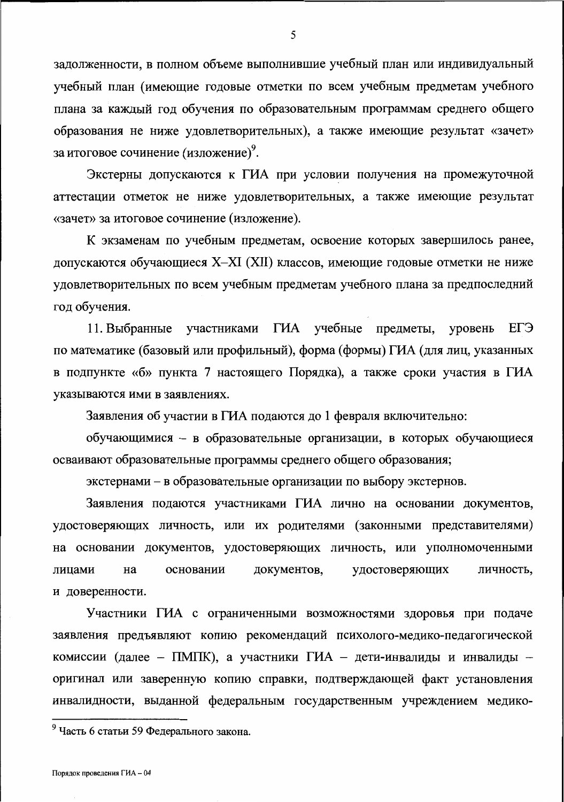задолженности, в полном объеме выполнившие учебный план или индивидуальный учебный план (имеющие годовые отметки по всем учебным предметам учебного плана за каждый год обучения по образовательным программам среднего общего образования не ниже удовлетворительных), а также имеющие результат «зачет» за итоговое сочинение (изложение).

Экстерны допускаются к ГИА при условии получения на промежуточной аттестации отметок не ниже удовлетворительных, а также имеющие результат «зачет» за итоговое сочинение (изложение).

К экзаменам по учебным предметам, освоение которых завершилось ранее, допускаются обучающиеся X-XI (XII) классов, имеющие годовые отметки не ниже удовлетворительных по всем учебным предметам учебного плана за предпоследний год обучения.

11. Выбранные участниками ГИА учебные предметы, уровень ЕГЭ по математике (базовый или профильный), форма (формы) ГИА (для лиц, указанных в подпункте «б» пункта 7 настоящего Порядка), а также сроки участия в ГИА указываются ими в заявлениях.

Заявления об участии в ГИА подаются до 1 февраля включительно:

обучающимися - в образовательные организации, в которых обучающиеся осваивают образовательные программы среднего общего образования;

экстернами – в образовательные организации по выбору экстернов.

Заявления подаются участниками ГИА лично на основании документов, удостоверяющих личность, или их родителями (законными представителями) на основании документов, удостоверяющих личность, или уполномоченными удостоверяющих документов, личность, лицами Ha основании и доверенности.

Участники ГИА с ограниченными возможностями здоровья при подаче заявления предъявляют копию рекомендаций психолого-медико-педагогической комиссии (далее - ПМПК), а участники ГИА - дети-инвалиды и инвалиды оригинал или заверенную копию справки, подтверждающей факт установления инвалидности, выданной федеральным государственным учреждением медико-

<sup>&</sup>lt;sup>9</sup> Часть 6 статьи 59 Федерального закона.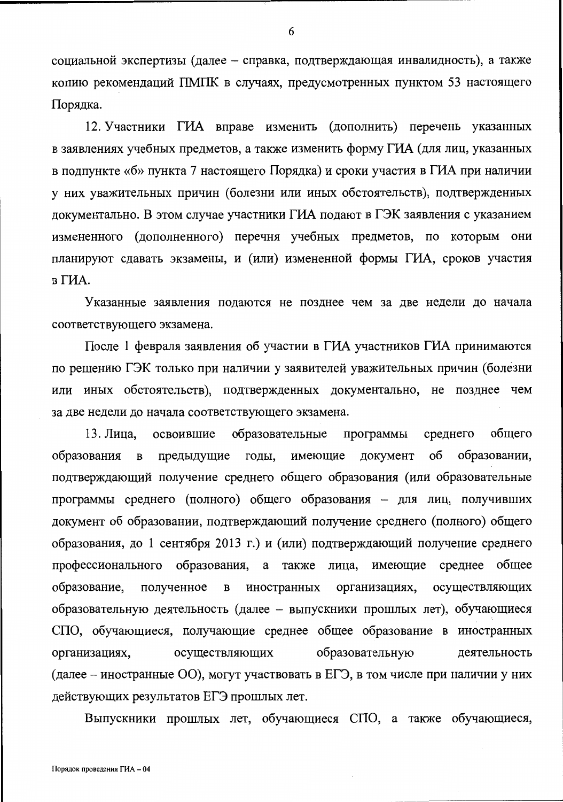социальной экспертизы (далее - справка, подтверждающая инвалидность), а также копию рекомендаций ПМПК в случаях, предусмотренных пунктом 53 настоящего Порядка.

12. Участники ГИА вправе изменить (дополнить) перечень указанных в заявлениях учебных предметов, а также изменить форму ГИА (для лиц, указанных в подпункте «б» пункта 7 настоящего Порядка) и сроки участия в ГИА при наличии у них уважительных причин (болезни или иных обстоятельств), подтвержденных документально. В этом случае участники ГИА подают в ГЭК заявления с указанием измененного (дополненного) перечня учебных предметов, по которым они планируют сдавать экзамены, и (или) измененной формы ГИА, сроков участия в ГИА.

Указанные заявления подаются не позднее чем за две недели до начала соответствующего экзамена.

После 1 февраля заявления об участии в ГИА участников ГИА принимаются по решению ГЭК только при наличии у заявителей уважительных причин (болезни или иных обстоятельств), подтвержденных документально, не позднее чем за две недели до начала соответствующего экзамена.

13. Лица, освоившие образовательные программы среднего общего об образовании, образования  $\mathbf{B}$ предыдущие годы, имеющие документ подтверждающий получение среднего общего образования (или образовательные программы среднего (полного) общего образования - для лиц, получивших документ об образовании, подтверждающий получение среднего (полного) общего образования, до 1 сентября 2013 г.) и (или) подтверждающий получение среднего профессионального образования, а также лица, имеющие среднее общее образование, полученное иностранных организациях,  $\, {\bf B}$ осуществляющих образовательную деятельность (далее - выпускники прошлых лет), обучающиеся СПО, обучающиеся, получающие среднее общее образование в иностранных образовательную организациях, осуществляющих деятельность (далее – иностранные ОО), могут участвовать в ЕГЭ, в том числе при наличии у них действующих результатов ЕГЭ прошлых лет.

Выпускники прошлых лет, обучающиеся СПО, а также обучающиеся,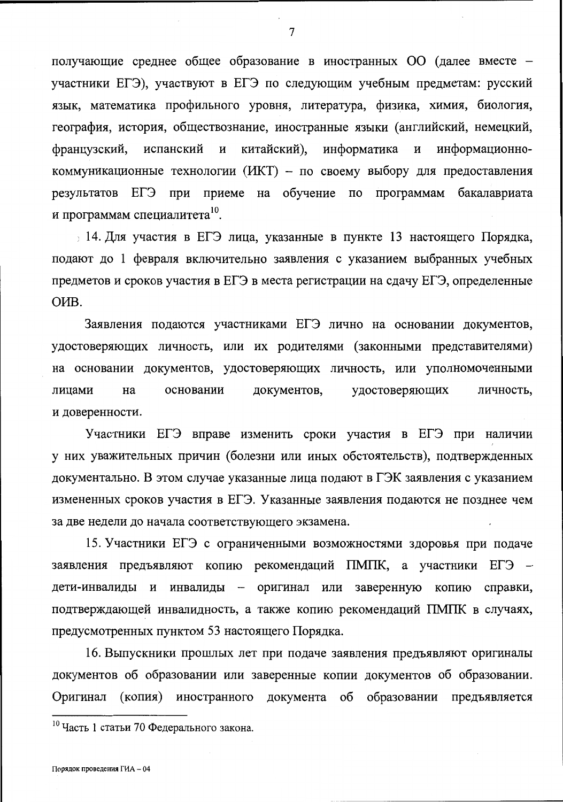получающие среднее общее образование в иностранных ОО (далее вместе участники ЕГЭ), участвуют в ЕГЭ по следующим учебным предметам: русский язык, математика профильного уровня, литература, физика, химия, биология, география, история, обществознание, иностранные языки (английский, немецкий, китайский), информатика  $\, {\bf N}$ информационноиспанский  $\boldsymbol{\mathrm{M}}$ французский, коммуникационные технологии (ИКТ) - по своему выбору для предоставления результатов ЕГЭ при приеме на обучение по программам бакалавриата и программам специалитета<sup>10</sup>.

, 14. Для участия в ЕГЭ лица, указанные в пункте 13 настоящего Порядка, подают до 1 февраля включительно заявления с указанием выбранных учебных предметов и сроков участия в ЕГЭ в места регистрации на сдачу ЕГЭ, определенные O<sub>*MB*</sub>.

Заявления подаются участниками ЕГЭ лично на основании документов, удостоверяющих личность, или их родителями (законными представителями) на основании документов, удостоверяющих личность, или уполномоченными лицами на основании документов, удостоверяющих личность, и доверенности.

Участники ЕГЭ вправе изменить сроки участия в ЕГЭ при наличии у них уважительных причин (болезни или иных обстоятельств), подтвержденных документально. В этом случае указанные лица подают в ГЭК заявления с указанием измененных сроков участия в ЕГЭ. Указанные заявления подаются не позднее чем за две недели до начала соответствующего экзамена.

15. Участники ЕГЭ с ограниченными возможностями здоровья при подаче заявления предъявляют копию рекомендаций ПМПК, а участники ЕГЭ дети-инвалиды и инвалиды - оригинал или заверенную копию справки, подтверждающей инвалидность, а также копию рекомендаций ПМПК в случаях, предусмотренных пунктом 53 настоящего Порядка.

16. Выпускники прошлых лет при подаче заявления предъявляют оригиналы документов об образовании или заверенные копии документов об образовании. Оригинал (копия) иностранного документа об образовании предъявляется

 $\overline{7}$ 

<sup>10</sup> Часть 1 статьи 70 Федерального закона.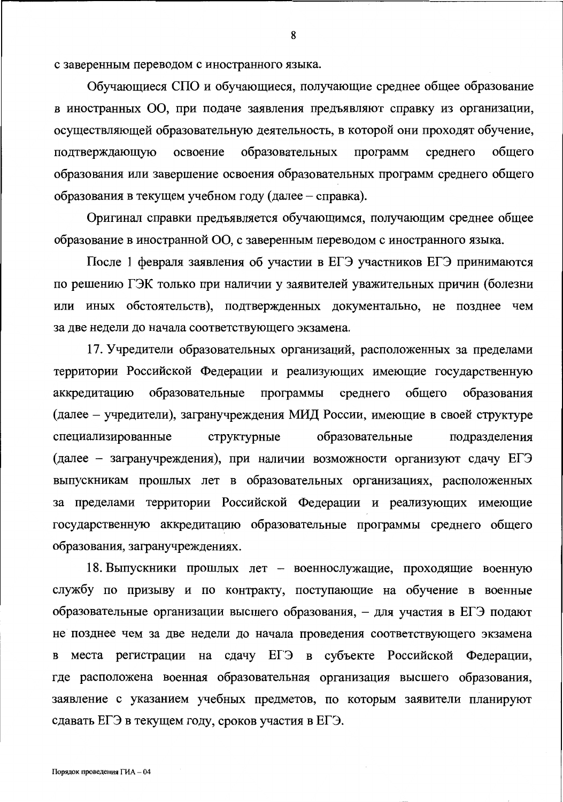с заверенным переводом с иностранного языка.

Обучающиеся СПО и обучающиеся, получающие среднее общее образование в иностранных ОО, при подаче заявления предъявляют справку из организации, осуществляющей образовательную деятельность, в которой они проходят обучение, образовательных общего подтверждающую освоение программ среднего образования или завершение освоения образовательных программ среднего общего образования в текущем учебном году (далее – справка).

Оригинал справки предъявляется обучающимся, получающим среднее общее образование в иностранной ОО, с заверенным переводом с иностранного языка.

После 1 февраля заявления об участии в ЕГЭ участников ЕГЭ принимаются по решению ГЭК только при наличии у заявителей уважительных причин (болезни или иных обстоятельств), подтвержденных документально, не позднее чем за две недели до начала соответствующего экзамена.

17. Учредители образовательных организаций, расположенных за пределами территории Российской Федерации и реализующих имеющие государственную аккредитацию образовательные программы среднего общего образования (далее – учредители), загранучреждения МИД России, имеющие в своей структуре специализированные структурные образовательные подразделения (далее – загранучреждения), при наличии возможности организуют сдачу ЕГЭ выпускникам прошлых лет в образовательных организациях, расположенных за пределами территории Российской Федерации и реализующих имеющие государственную аккредитацию образовательные программы среднего общего образования, загранучреждениях.

18. Выпускники прошлых лет - военнослужащие, проходящие военную службу по призыву и по контракту, поступающие на обучение в военные образовательные организации высшего образования, - для участия в ЕГЭ подают не позднее чем за две недели до начала проведения соответствующего экзамена места регистрации на сдачу ЕГЭ в субъекте Российской Федерации,  $\mathbf B$ где расположена военная образовательная организация высшего образования, заявление с указанием учебных предметов, по которым заявители планируют сдавать ЕГЭ в текущем году, сроков участия в ЕГЭ.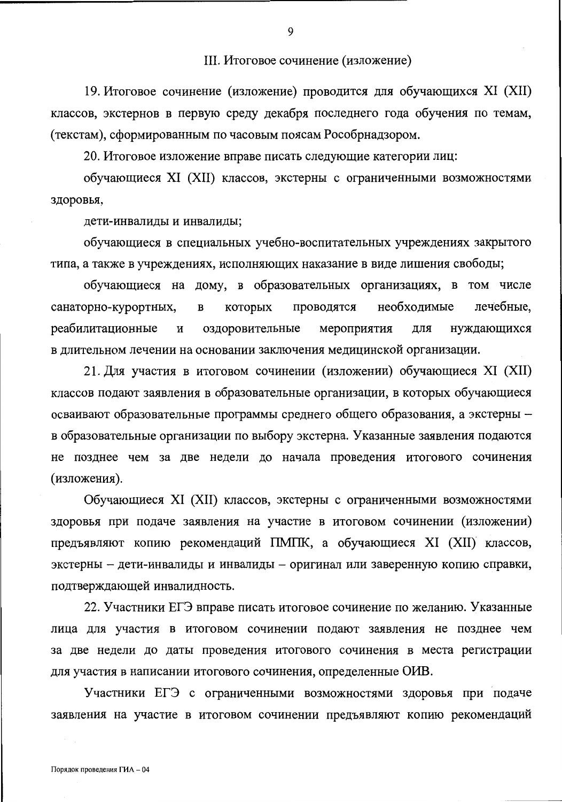#### III. Итоговое сочинение (изложение)

19. Итоговое сочинение (изложение) проводится для обучающихся XI (XII) классов, экстернов в первую среду декабря последнего года обучения по темам, (текстам), сформированным по часовым поясам Рособрнадзором.

20. Итоговое изложение вправе писать следующие категории лиц:

обучающиеся XI (XII) классов, экстерны с ограниченными возможностями здоровья,

дети-инвалиды и инвалиды;

обучающиеся в специальных учебно-воспитательных учреждениях закрытого типа, а также в учреждениях, исполняющих наказание в виде лишения свободы;

обучающиеся на дому, в образовательных организациях, в том числе необходимые лечебные, санаторно-курортных,  $\, {\bf B}$ которых проводятся реабилитационные И оздоровительные мероприятия ДЛЯ нуждающихся в длительном лечении на основании заключения медицинской организации.

21. Для участия в итоговом сочинении (изложении) обучающиеся XI (XII) классов подают заявления в образовательные организации, в которых обучающиеся осваивают образовательные программы среднего общего образования, а экстерны в образовательные организации по выбору экстерна. Указанные заявления подаются не позднее чем за две недели до начала проведения итогового сочинения (изложения).

Обучающиеся XI (XII) классов, экстерны с ограниченными возможностями здоровья при подаче заявления на участие в итоговом сочинении (изложении) предъявляют копию рекомендаций ПМПК, а обучающиеся XI (XII) классов, экстерны - дети-инвалиды и инвалиды - оригинал или заверенную копию справки, подтверждающей инвалидность.

22. Участники ЕГЭ вправе писать итоговое сочинение по желанию. Указанные лица для участия в итоговом сочинении подают заявления не позднее чем за две недели до даты проведения итогового сочинения в места регистрации для участия в написании итогового сочинения, определенные ОИВ.

Участники ЕГЭ с ограниченными возможностями здоровья при подаче заявления на участие в итоговом сочинении предъявляют копию рекомендаций

 $\mathbf Q$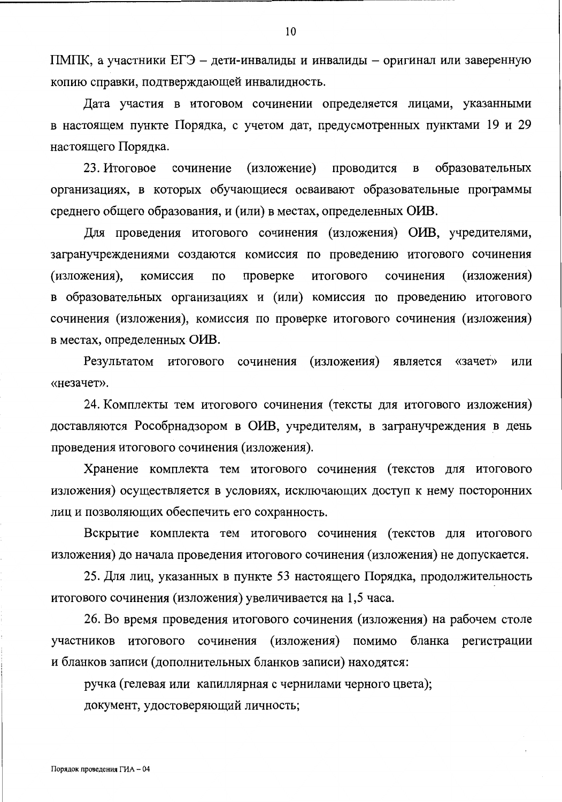ПМПК, а участники ЕГЭ - дети-инвалиды и инвалиды - оригинал или заверенную копию справки, подтверждающей инвалидность.

Дата участия в итоговом сочинении определяется лицами, указанными в настоящем пункте Порядка, с учетом дат, предусмотренных пунктами 19 и 29 настоящего Порядка.

23. Итоговое сочинение (изложение) проводится  $\, {\bf B}$ образовательных организациях, в которых обучающиеся осваивают образовательные программы среднего общего образования, и (или) в местах, определенных ОИВ.

Для проведения итогового сочинения (изложения) ОИВ, учредителями, загранучреждениями создаются комиссия по проведению итогового сочинения проверке (изложения) (изложения), комиссия итогового сочинения по в образовательных организациях и (или) комиссия по проведению итогового сочинения (изложения), комиссия по проверке итогового сочинения (изложения) в местах, определенных ОИВ.

(изложения) Результатом итогового сочинения является «зачет» или «незачет».

24. Комплекты тем итогового сочинения (тексты для итогового изложения) доставляются Рособрнадзором в ОИВ, учредителям, в загранучреждения в день проведения итогового сочинения (изложения).

Хранение комплекта тем итогового сочинения (текстов для итогового изложения) осуществляется в условиях, исключающих доступ к нему посторонних лиц и позволяющих обеспечить его сохранность.

Вскрытие комплекта тем итогового сочинения (текстов для итогового изложения) до начала проведения итогового сочинения (изложения) не допускается.

25. Для лиц, указанных в пункте 53 настоящего Порядка, продолжительность итогового сочинения (изложения) увеличивается на 1,5 часа.

26. Во время проведения итогового сочинения (изложения) на рабочем столе участников итогового сочинения (изложения) помимо бланка регистрации и бланков записи (дополнительных бланков записи) находятся:

ручка (гелевая или капиллярная с чернилами черного цвета);

документ, удостоверяющий личность;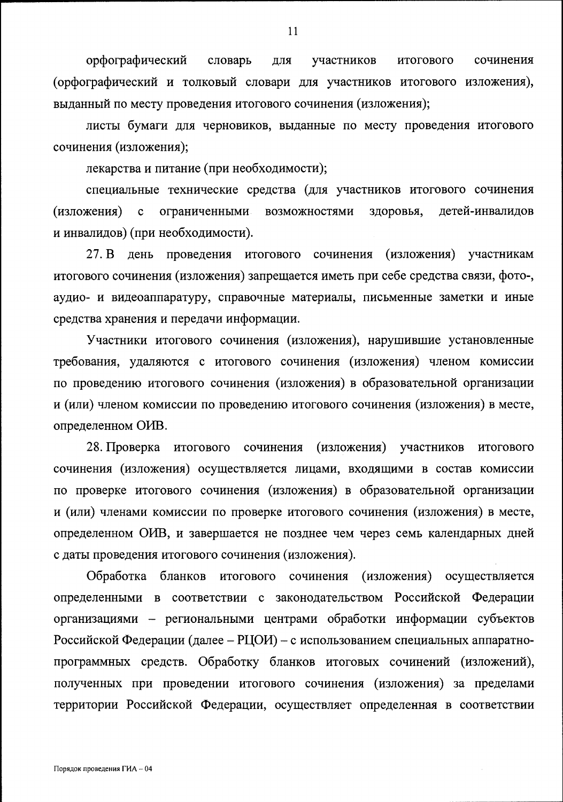орфографический словарь ДЛЯ участников итогового сочинения (орфографический и толковый словари для участников итогового изложения), выданный по месту проведения итогового сочинения (изложения);

листы бумаги для черновиков, выданные по месту проведения итогового сочинения (изложения);

лекарства и питание (при необходимости);

специальные технические средства (для участников итогового сочинения (изложения)  $\mathbf{c}$ ограниченными возможностями здоровья, детей-инвалидов и инвалидов) (при необходимости).

27. B день проведения итогового сочинения (изложения) участникам итогового сочинения (изложения) запрещается иметь при себе средства связи, фото-, аудио- и видеоаппаратуру, справочные материалы, письменные заметки и иные средства хранения и передачи информации.

Участники итогового сочинения (изложения), нарушившие установленные требования, удаляются с итогового сочинения (изложения) членом комиссии по проведению итогового сочинения (изложения) в образовательной организации и (или) членом комиссии по проведению итогового сочинения (изложения) в месте, определенном ОИВ.

28. Проверка итогового сочинения (изложения) участников итогового сочинения (изложения) осуществляется лицами, входящими в состав комиссии по проверке итогового сочинения (изложения) в образовательной организации и (или) членами комиссии по проверке итогового сочинения (изложения) в месте, определенном ОИВ, и завершается не позднее чем через семь календарных дней с даты проведения итогового сочинения (изложения).

Обработка бланков итогового сочинения (изложения) осуществляется определенными в соответствии с законодательством Российской Федерации организациями - региональными центрами обработки информации субъектов Российской Федерации (далее - РЦОИ) - с использованием специальных аппаратнопрограммных средств. Обработку бланков итоговых сочинений (изложений), полученных при проведении итогового сочинения (изложения) за пределами территории Российской Федерации, осуществляет определенная в соответствии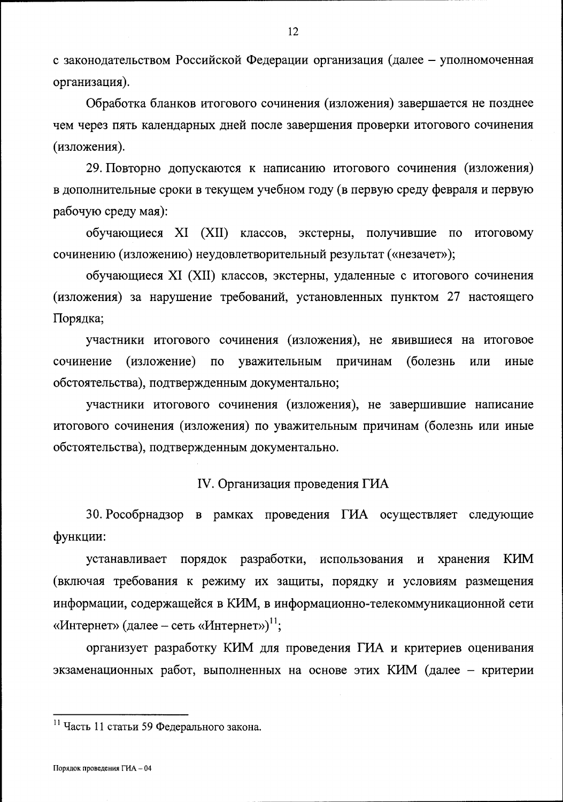с законодательством Российской Федерации организация (далее - уполномоченная организация).

Обработка бланков итогового сочинения (изложения) завершается не позднее чем через пять календарных дней после завершения проверки итогового сочинения (изложения).

29. Повторно допускаются к написанию итогового сочинения (изложения) в дополнительные сроки в текущем учебном году (в первую среду февраля и первую рабочую среду мая):

обучающиеся XI (XII) классов, экстерны, получившие по итоговому сочинению (изложению) неудовлетворительный результат («незачет»);

обучающиеся XI (XII) классов, экстерны, удаленные с итогового сочинения (изложения) за нарушение требований, установленных пунктом 27 настоящего Порядка;

участники итогового сочинения (изложения), не явившиеся на итоговое сочинение (изложение) по уважительным причинам (болезнь ИЛИ иные обстоятельства), подтвержденным документально;

участники итогового сочинения (изложения), не завершившие написание итогового сочинения (изложения) по уважительным причинам (болезнь или иные обстоятельства), подтвержденным документально.

IV. Организация проведения ГИА

30. Рособрнадзор в рамках проведения ГИА осуществляет следующие функции:

устанавливает порядок разработки, использования и KИM хранения (включая требования к режиму их защиты, порядку и условиям размещения информации, содержащейся в КИМ, в информационно-телекоммуникационной сети «Интернет» (далее – сеть «Интернет»)<sup>11</sup>;

организует разработку КИМ для проведения ГИА и критериев оценивания экзаменационных работ, выполненных на основе этих КИМ (далее - критерии

<sup>11</sup> Часть 11 статьи 59 Федерального закона.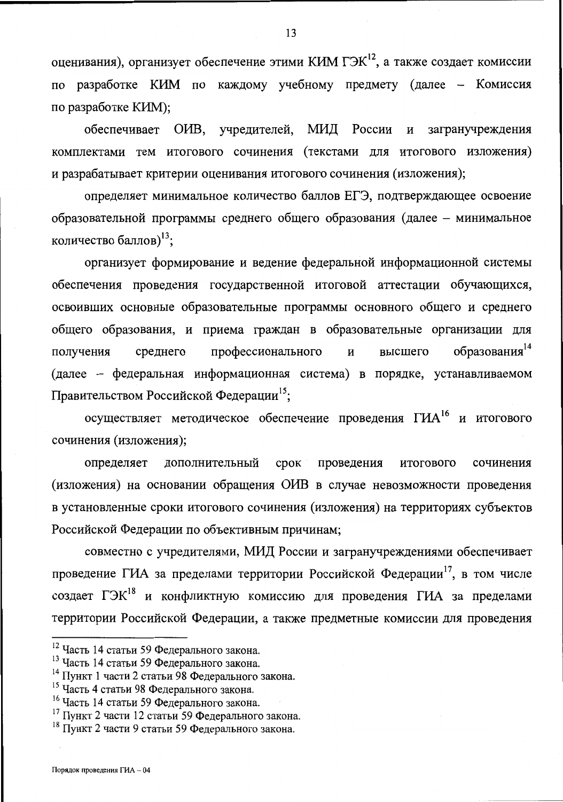оценивания), организует обеспечение этими КИМ ГЭК<sup>12</sup>, а также создает комиссии по разработке КИМ по каждому учебному предмету (далее - Комиссия по разработке КИМ);

обеспечивает ОИВ, учредителей, МИД России загранучреждения  $\mathbf{M}$ комплектами тем итогового сочинения (текстами для итогового изложения) и разрабатывает критерии оценивания итогового сочинения (изложения);

определяет минимальное количество баллов ЕГЭ, подтверждающее освоение образовательной программы среднего общего образования (далее - минимальное количество баллов)<sup>13</sup>;

организует формирование и ведение федеральной информационной системы обеспечения проведения государственной итоговой аттестации обучающихся, освоивших основные образовательные программы основного общего и среднего общего образования, и приема граждан в образовательные организации для образования<sup>14</sup> получения среднего профессионального  $\mathbf{M}$ высшего (далее - федеральная информационная система) в порядке, устанавливаемом Правительством Российской Федерации<sup>15</sup>;

осуществляет методическое обеспечение проведения ГИА<sup>16</sup> и итогового сочинения (изложения);

определяет дополнительный срок проведения итогового сочинения (изложения) на основании обращения ОИВ в случае невозможности проведения в установленные сроки итогового сочинения (изложения) на территориях субъектов Российской Федерации по объективным причинам;

совместно с учредителями, МИД России и загранучреждениями обеспечивает проведение ГИА за пределами территории Российской Федерации<sup>17</sup>, в том числе создает ГЭК<sup>18</sup> и конфликтную комиссию для проведения ГИА за пределами территории Российской Федерации, а также предметные комиссии для проведения

<sup>12</sup> Часть 14 статьи 59 Федерального закона.

<sup>13</sup> Часть 14 статьи 59 Федерального закона.

<sup>&</sup>lt;sup>14</sup> Пункт 1 части 2 статьи 98 Федерального закона.

<sup>&</sup>lt;sup>15</sup> Часть 4 статьи 98 Федерального закона.

<sup>16</sup> Часть 14 статьи 59 Федерального закона.

<sup>17</sup> Пункт 2 части 12 статьи 59 Федерального закона.

<sup>&</sup>lt;sup>18</sup> Пункт 2 части 9 статьи 59 Федерального закона.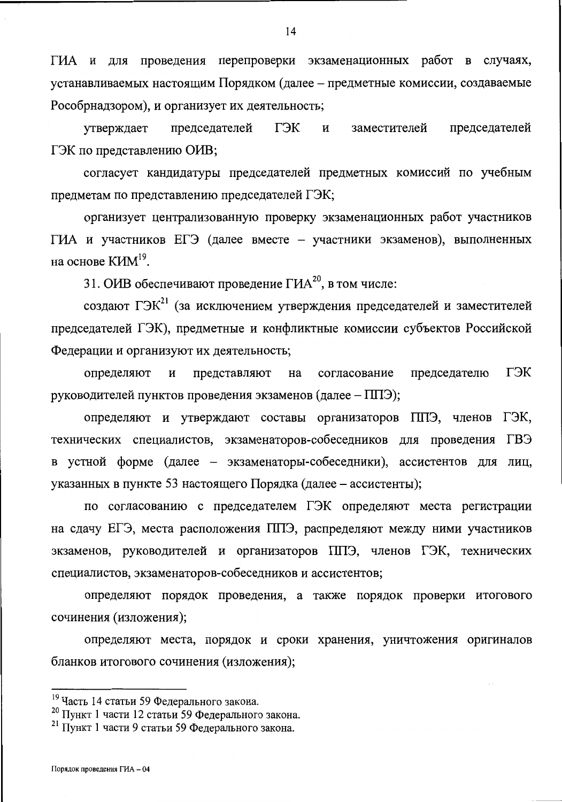ГИА и для проведения перепроверки экзаменационных работ в случаях, устанавливаемых настоящим Порядком (далее - предметные комиссии, создаваемые Рособрнадзором), и организует их деятельность;

ГЭК председателей утверждает председателей И заместителей ГЭК по представлению ОИВ;

согласует кандидатуры председателей предметных комиссий по учебным предметам по представлению председателей ГЭК;

организует централизованную проверку экзаменационных работ участников ГИА и участников ЕГЭ (далее вместе - участники экзаменов), выполненных на основе  $K/M^{19}$ .

31. ОИВ обеспечивают проведение ГИА<sup>20</sup>, в том числе:

создают ГЭК<sup>21</sup> (за исключением утверждения председателей и заместителей председателей ГЭК), предметные и конфликтные комиссии субъектов Российской Федерации и организуют их деятельность;

определяют представляют председателю ГЭК И на согласование руководителей пунктов проведения экзаменов (далее - ППЭ);

определяют и утверждают составы организаторов ППЭ, членов ГЭК, технических специалистов, экзаменаторов-собеседников для проведения ГВЭ в устной форме (далее - экзаменаторы-собеседники), ассистентов для лиц, указанных в пункте 53 настоящего Порядка (далее – ассистенты);

по согласованию с председателем ГЭК определяют места регистрации на сдачу ЕГЭ, места расположения ППЭ, распределяют между ними участников экзаменов, руководителей и организаторов ППЭ, членов ГЭК, технических специалистов, экзаменаторов-собеседников и ассистентов;

определяют порядок проведения, а также порядок проверки итогового сочинения (изложения);

определяют места, порядок и сроки хранения, уничтожения оригиналов бланков итогового сочинения (изложения);

<sup>19</sup> Часть 14 статьи 59 Федерального закона.

<sup>20</sup> Пункт 1 части 12 статьи 59 Федерального закона.

<sup>21</sup> Пункт 1 части 9 статьи 59 Федерального закона.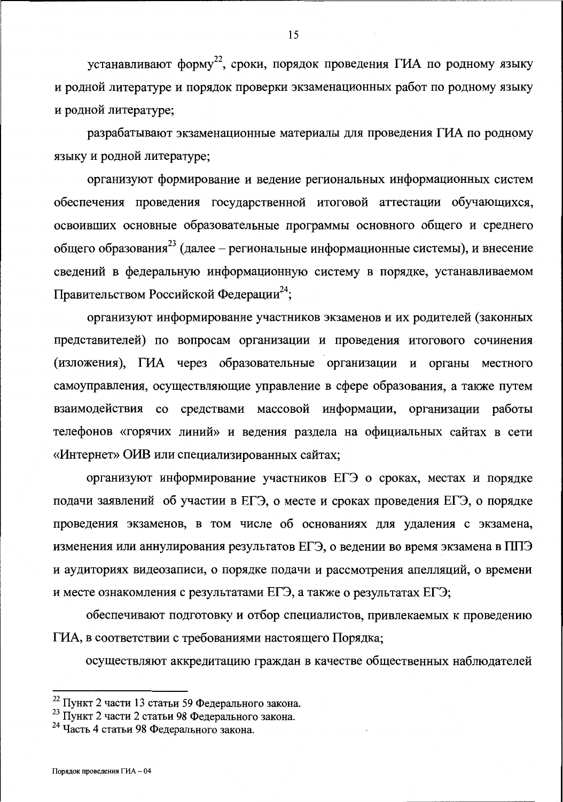устанавливают форму<sup>22</sup>, сроки, порядок проведения ГИА по родному языку и родной литературе и порядок проверки экзаменационных работ по родному языку и родной литературе;

разрабатывают экзаменационные материалы для проведения ГИА по родному языку и родной литературе;

организуют формирование и ведение региональных информационных систем обеспечения проведения государственной итоговой аттестации обучающихся, освоивших основные образовательные программы основного общего и среднего общего образования<sup>23</sup> (далее – региональные информационные системы), и внесение сведений в федеральную информационную систему в порядке, устанавливаемом Правительством Российской Федерации<sup>24</sup>;

организуют информирование участников экзаменов и их родителей (законных представителей) по вопросам организации и проведения итогового сочинения (изложения), ГИА через образовательные организации и органы местного самоуправления, осуществляющие управление в сфере образования, а также путем взаимодействия со средствами массовой информации, организации работы телефонов «горячих линий» и ведения раздела на официальных сайтах в сети «Интернет» ОИВ или специализированных сайтах;

организуют информирование участников ЕГЭ о сроках, местах и порядке подачи заявлений об участии в ЕГЭ, о месте и сроках проведения ЕГЭ, о порядке проведения экзаменов, в том числе об основаниях для удаления с экзамена, изменения или аннулирования результатов ЕГЭ, о ведении во время экзамена в ППЭ и аудиториях видеозаписи, о порядке подачи и рассмотрения апелляций, о времени и месте ознакомления с результатами ЕГЭ, а также о результатах ЕГЭ;

обеспечивают подготовку и отбор специалистов, привлекаемых к проведению ГИА, в соответствии с требованиями настоящего Порядка;

осуществляют аккредитацию граждан в качестве общественных наблюдателей

<sup>22</sup> Пункт 2 части 13 статьи 59 Федерального закона.

<sup>23</sup> Пункт 2 части 2 статьи 98 Федерального закона.

<sup>&</sup>lt;sup>24</sup> Часть 4 статьи 98 Федерального закона.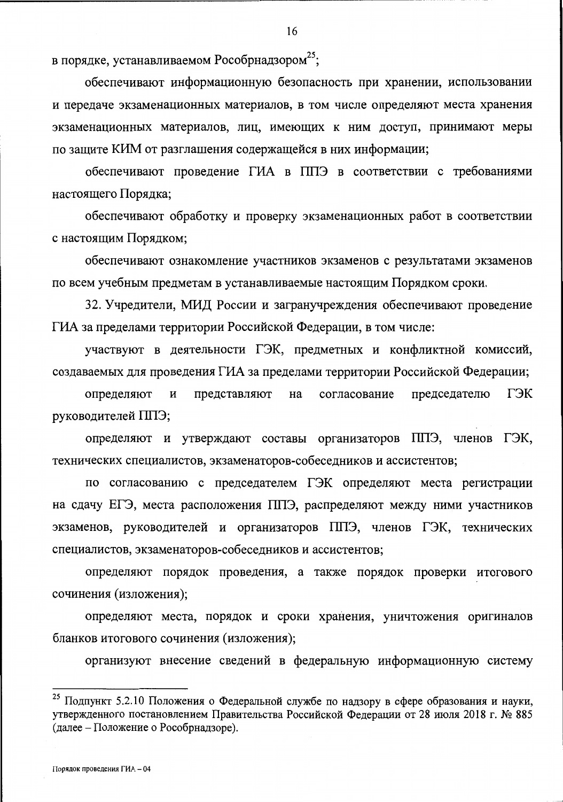в порядке, устанавливаемом Рособрнадзором<sup>25</sup>;

обеспечивают информационную безопасность при хранении, использовании и передаче экзаменационных материалов, в том числе определяют места хранения экзаменационных материалов, лиц, имеющих к ним доступ, принимают меры по защите КИМ от разглашения содержащейся в них информации;

обеспечивают проведение ГИА в ППЭ в соответствии с требованиями настоящего Порядка;

обеспечивают обработку и проверку экзаменационных работ в соответствии с настоящим Порядком;

обеспечивают ознакомление участников экзаменов с результатами экзаменов по всем учебным предметам в устанавливаемые настоящим Порядком сроки.

32. Учредители, МИД России и загранучреждения обеспечивают проведение ГИА за пределами территории Российской Федерации, в том числе:

участвуют в деятельности ГЭК, предметных и конфликтной комиссий, создаваемых для проведения ГИА за пределами территории Российской Федерации;

определяют И представляют на согласование председателю ГЭК руководителей ППЭ;

определяют и утверждают составы организаторов ППЭ, членов ГЭК, технических специалистов, экзаменаторов-собеседников и ассистентов;

по согласованию с председателем ГЭК определяют места регистрации на сдачу ЕГЭ, места расположения ППЭ, распределяют между ними участников экзаменов, руководителей и организаторов ППЭ, членов ГЭК, технических специалистов, экзаменаторов-собеседников и ассистентов;

определяют порядок проведения, а также порядок проверки итогового сочинения (изложения);

определяют места, порядок и сроки хранения, уничтожения оригиналов бланков итогового сочинения (изложения);

организуют внесение сведений в федеральную информационную систему

<sup>&</sup>lt;sup>25</sup> Подпункт 5.2.10 Положения о Федеральной службе по надзору в сфере образования и науки, утвержденного постановлением Правительства Российской Федерации от 28 июля 2018 г. № 885 (далее – Положение о Рособрнадзоре).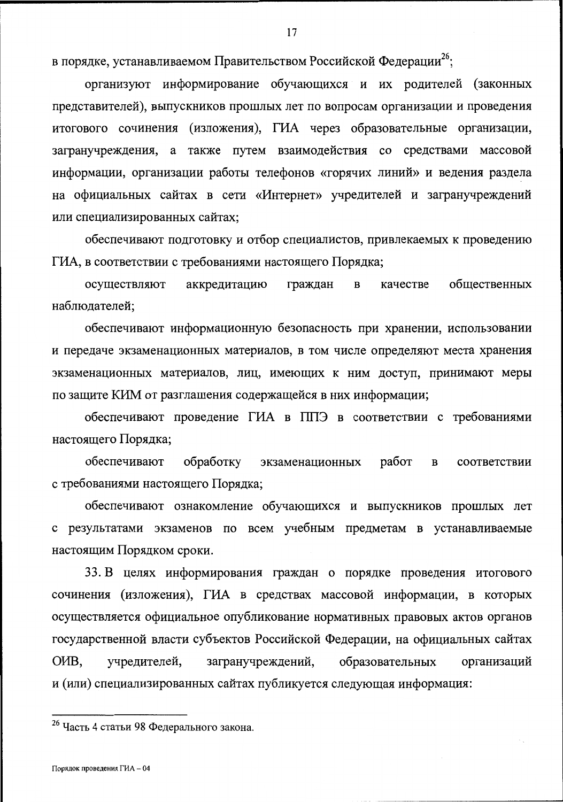в порядке, устанавливаемом Правительством Российской Федерации<sup>26</sup>;

организуют информирование обучающихся и их родителей (законных представителей), выпускников прошлых лет по вопросам организации и проведения итогового сочинения (изложения), ГИА через образовательные организации, загранучреждения, а также путем взаимодействия со средствами массовой информации, организации работы телефонов «горячих линий» и ведения раздела на официальных сайтах в сети «Интернет» учредителей и загранучреждений или специализированных сайтах;

обеспечивают подготовку и отбор специалистов, привлекаемых к проведению ГИА, в соответствии с требованиями настоящего Порядка;

общественных осуществляют аккредитацию граждан  $\mathbf B$ качестве наблюдателей;

обеспечивают информационную безопасность при хранении, использовании и передаче экзаменационных материалов, в том числе определяют места хранения экзаменационных материалов, лиц, имеющих к ним доступ, принимают меры по защите КИМ от разглашения содержащейся в них информации;

обеспечивают проведение ГИА в ППЭ в соответствии с требованиями настоящего Порядка;

обеспечивают обработку работ экзаменационных  $\mathbf{B}$ соответствии с требованиями настоящего Порядка;

обеспечивают ознакомление обучающихся и выпускников прошлых лет с результатами экзаменов по всем учебным предметам в устанавливаемые настоящим Порядком сроки.

33. В целях информирования граждан о порядке проведения итогового сочинения (изложения), ГИА в средствах массовой информации, в которых осуществляется официальное опубликование нормативных правовых актов органов государственной власти субъектов Российской Федерации, на официальных сайтах O<sub>H</sub>B, учредителей, загранучреждений, образовательных организаций и (или) специализированных сайтах публикуется следующая информация:

<sup>&</sup>lt;sup>26</sup> Часть 4 статьи 98 Федерального закона.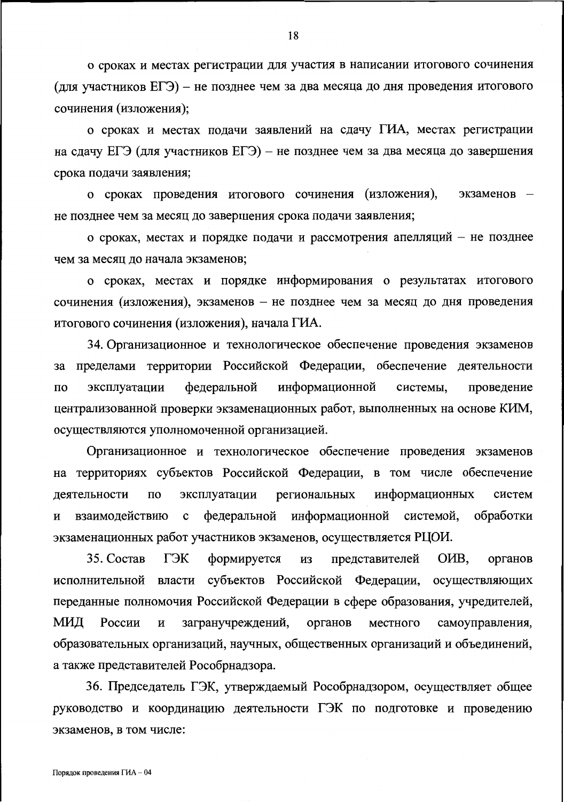о сроках и местах регистрации для участия в написании итогового сочинения (для участников ЕГЭ) – не позднее чем за два месяца до дня проведения итогового сочинения (изложения);

о сроках и местах подачи заявлений на сдачу ГИА, местах регистрации на сдачу ЕГЭ (для участников ЕГЭ) - не позднее чем за два месяца до завершения срока подачи заявления;

о сроках проведения итогового сочинения (изложения), экзаменов не позднее чем за месяц до завершения срока подачи заявления;

о сроках, местах и порядке подачи и рассмотрения апелляций - не позднее чем за месяц до начала экзаменов;

о сроках, местах и порядке информирования о результатах итогового сочинения (изложения), экзаменов - не позднее чем за месяц до дня проведения итогового сочинения (изложения), начала ГИА.

34. Организационное и технологическое обеспечение проведения экзаменов за пределами территории Российской Федерации, обеспечение деятельности федеральной информационной эксплуатации системы, проведение  $\Pi$ O централизованной проверки экзаменационных работ, выполненных на основе КИМ, осуществляются уполномоченной организацией.

Организационное и технологическое обеспечение проведения экзаменов на территориях субъектов Российской Федерации, в том числе обеспечение информационных эксплуатации региональных деятельности  $\Pi{\rm O}$ систем информационной системой, обработки федеральной взаимодействию  $\mathbf c$ И экзаменационных работ участников экзаменов, осуществляется РЦОИ.

ГЭК O<sub>H</sub>B. 35. Состав формируется представителей **ИЗ** органов исполнительной власти субъектов Российской Федерации, осуществляющих переданные полномочия Российской Федерации в сфере образования, учредителей, МИД России загранучреждений, органов самоуправления,  $\mathbf H$ местного образовательных организаций, научных, общественных организаций и объединений, а также представителей Рособрнадзора.

36. Председатель ГЭК, утверждаемый Рособрнадзором, осуществляет общее руководство и координацию деятельности ГЭК по подготовке и проведению экзаменов, в том числе: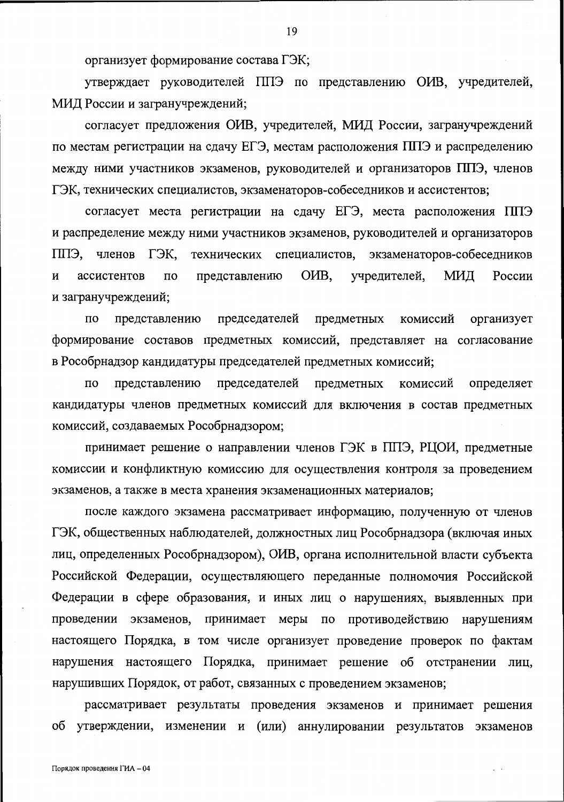организует формирование состава ГЭК;

утверждает руководителей ППЭ по представлению ОИВ, учредителей, МИД России и загранучреждений;

согласует предложения ОИВ, учредителей, МИД России, загранучреждений по местам регистрации на сдачу ЕГЭ, местам расположения ППЭ и распределению между ними участников экзаменов, руководителей и организаторов ППЭ, членов ГЭК, технических специалистов, экзаменаторов-собеседников и ассистентов;

согласует места регистрации на сдачу ЕГЭ, места расположения ППЭ и распределение между ними участников экзаменов, руководителей и организаторов ГЭК. экзаменаторов-собеседников ППЭ, членов технических специалистов, OHB, учредителей, МИД России  $\mathbf{M}$ ассистентов  $\Pi$ <sup>O</sup> представлению и загранучреждений;

председателей предметных комиссий организует  $\Pi$ O представлению формирование составов предметных комиссий, представляет на согласование в Рособрнадзор кандидатуры председателей предметных комиссий;

предметных  $\overline{10}$ представлению председателей комиссий определяет кандидатуры членов предметных комиссий для включения в состав предметных комиссий, создаваемых Рособрнадзором;

принимает решение о направлении членов ГЭК в ППЭ, РЦОИ, предметные комиссии и конфликтную комиссию для осуществления контроля за проведением экзаменов, а также в места хранения экзаменационных материалов;

после каждого экзамена рассматривает информацию, полученную от членов ГЭК, общественных наблюдателей, должностных лиц Рособрнадзора (включая иных лиц, определенных Рособрнадзором), ОИВ, органа исполнительной власти субъекта Российской Федерации, осуществляющего переданные полномочия Российской Федерации в сфере образования, и иных лиц о нарушениях, выявленных при проведении экзаменов, принимает меры по противодействию нарушениям настоящего Порядка, в том числе организует проведение проверок по фактам нарушения настоящего Порядка, принимает решение об отстранении лиц, нарушивших Порядок, от работ, связанных с проведением экзаменов;

рассматривает результаты проведения экзаменов и принимает решения об утверждении, изменении и (или) аннулировании результатов экзаменов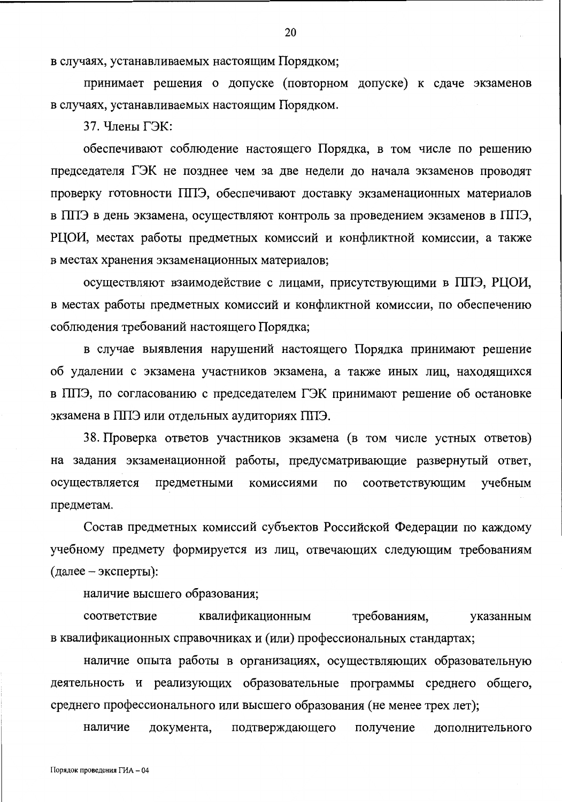в случаях, устанавливаемых настоящим Порядком;

принимает решения о допуске (повторном допуске) к сдаче экзаменов в случаях, устанавливаемых настоящим Порядком.

37. Члены ГЭК:

обеспечивают соблюдение настоящего Порядка, в том числе по решению председателя ГЭК не позднее чем за две недели до начала экзаменов проводят проверку готовности ППЭ, обеспечивают доставку экзаменационных материалов в ППЭ в день экзамена, осуществляют контроль за проведением экзаменов в ППЭ, РЦОИ, местах работы предметных комиссий и конфликтной комиссии, а также в местах хранения экзаменационных материалов;

осуществляют взаимодействие с лицами, присутствующими в ППЭ, РЦОИ, в местах работы предметных комиссий и конфликтной комиссии, по обеспечению соблюдения требований настоящего Порядка;

в случае выявления нарушений настоящего Порядка принимают решение об удалении с экзамена участников экзамена, а также иных лиц, находящихся в ППЭ, по согласованию с председателем ГЭК принимают решение об остановке экзамена в ППЭ или отдельных аудиториях ППЭ.

38. Проверка ответов участников экзамена (в том числе устных ответов) на задания экзаменационной работы, предусматривающие развернутый ответ, осуществляется предметными комиссиями  $\Pi\mho$ соответствующим учебным предметам.

Состав предметных комиссий субъектов Российской Федерации по каждому учебному предмету формируется из лиц, отвечающих следующим требованиям (далее – эксперты):

наличие высшего образования;

квалификационным соответствие требованиям, указанным в квалификационных справочниках и (или) профессиональных стандартах;

наличие опыта работы в организациях, осуществляющих образовательную деятельность и реализующих образовательные программы среднего общего, среднего профессионального или высшего образования (не менее трех лет);

наличие документа, подтверждающего получение дополнительного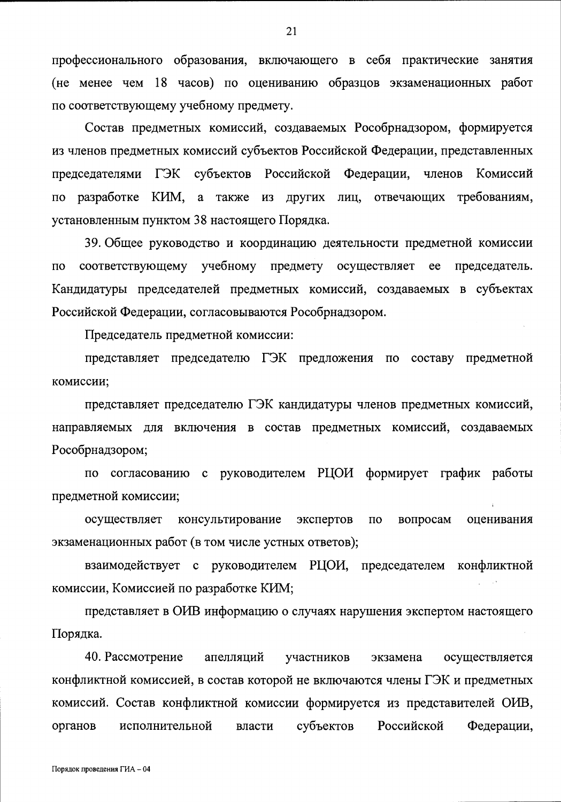профессионального образования, включающего в себя практические занятия (не менее чем 18 часов) по оцениванию образцов экзаменационных работ по соответствующему учебному предмету.

Состав предметных комиссий, создаваемых Рособрнадзором, формируется из членов предметных комиссий субъектов Российской Федерации, представленных председателями ГЭК субъектов Российской Федерации, членов Комиссий по разработке КИМ, a также из других лиц, отвечающих требованиям, установленным пунктом 38 настоящего Порядка.

39. Общее руководство и координацию деятельности предметной комиссии соответствующему учебному предмету осуществляет  $\Pi$ O ee председатель. Кандидатуры председателей предметных комиссий, создаваемых в субъектах Российской Федерации, согласовываются Рособрнадзором.

Председатель предметной комиссии:

представляет председателю ГЭК предложения по составу предметной комиссии;

представляет председателю ГЭК кандидатуры членов предметных комиссий, направляемых для включения в состав предметных комиссий, создаваемых Рособрнадзором;

согласованию с руководителем РЦОИ формирует график работы  $\overline{10}$ предметной комиссии;

консультирование экспертов вопросам осуществляет  $\Pi$ O оценивания экзаменационных работ (в том числе устных ответов);

взаимодействует с руководителем РЦОИ, председателем конфликтной комиссии, Комиссией по разработке КИМ;

представляет в ОИВ информацию о случаях нарушения экспертом настоящего Порядка.

40. Рассмотрение апелляций участников осуществляется экзамена конфликтной комиссией, в состав которой не включаются члены ГЭК и предметных комиссий. Состав конфликтной комиссии формируется из представителей ОИВ, Российской органов исполнительной власти субъектов Федерации,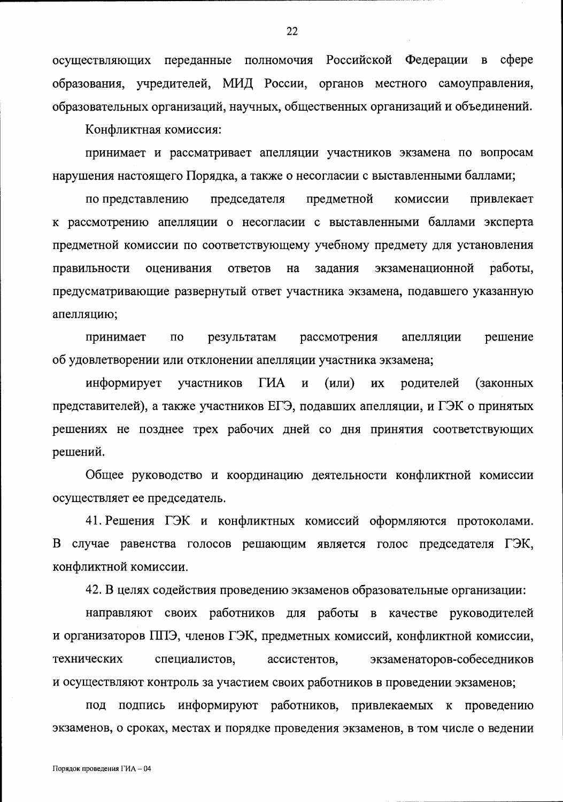осуществляющих переданные полномочия Российской Федерации в сфере образования, учредителей, МИД России, органов местного самоуправления, образовательных организаций, научных, общественных организаций и объединений.

Конфликтная комиссия:

принимает и рассматривает апелляции участников экзамена по вопросам нарушения настоящего Порядка, а также о несогласии с выставленными баллами;

по представлению председателя предметной комиссии привлекает к рассмотрению апелляции о несогласии с выставленными баллами эксперта предметной комиссии по соответствующему учебному предмету для установления правильности оценивания ответов на задания экзаменационной работы. предусматривающие развернутый ответ участника экзамена, подавшего указанную апелляцию;

 $\overline{a}$ результатам рассмотрения апелляции решение принимает об удовлетворении или отклонении апелляции участника экзамена;

информирует участников **THA**  $\mathbf H$  $(MJ)$ **HX** родителей (законных представителей), а также участников ЕГЭ, подавших апелляции, и ГЭК о принятых решениях не позднее трех рабочих дней со дня принятия соответствующих решений.

Общее руководство и координацию деятельности конфликтной комиссии осуществляет ее председатель.

41. Решения ГЭК и конфликтных комиссий оформляются протоколами. В случае равенства голосов решающим является голос председателя ГЭК, конфликтной комиссии.

42. В целях содействия проведению экзаменов образовательные организации:

направляют своих работников для работы в качестве руководителей и организаторов ППЭ, членов ГЭК, предметных комиссий, конфликтной комиссии, технических специалистов, ассистентов, экзаменаторов-собеседников и осуществляют контроль за участием своих работников в проведении экзаменов;

под подпись информируют работников, привлекаемых к проведению экзаменов, о сроках, местах и порядке проведения экзаменов, в том числе о ведении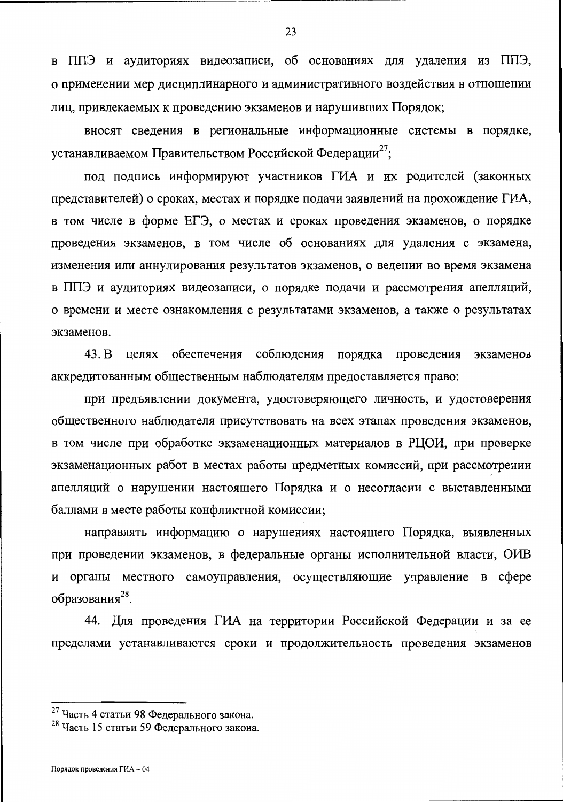в ППЭ и аудиториях видеозаписи, об основаниях для удаления из ППЭ, о применении мер дисциплинарного и административного воздействия в отношении лиц, привлекаемых к проведению экзаменов и нарушивших Порядок;

вносят сведения в региональные информационные системы в порядке, устанавливаемом Правительством Российской Федерации<sup>27</sup>;

под подпись информируют участников ГИА и их родителей (законных представителей) о сроках, местах и порядке подачи заявлений на прохождение ГИА, в том числе в форме ЕГЭ, о местах и сроках проведения экзаменов, о порядке проведения экзаменов, в том числе об основаниях для удаления с экзамена, изменения или аннулирования результатов экзаменов, о ведении во время экзамена в ППЭ и аудиториях видеозаписи, о порядке подачи и рассмотрения апелляций, о времени и месте ознакомления с результатами экзаменов, а также о результатах экзаменов.

43. B целях обеспечения соблюдения порядка проведения экзаменов аккредитованным общественным наблюдателям предоставляется право:

при предъявлении документа, удостоверяющего личность, и удостоверения общественного наблюдателя присутствовать на всех этапах проведения экзаменов, в том числе при обработке экзаменационных материалов в РЦОИ, при проверке экзаменационных работ в местах работы предметных комиссий, при рассмотрении апелляций о нарушении настоящего Порядка и о несогласии с выставленными баллами в месте работы конфликтной комиссии;

направлять информацию о нарушениях настоящего Порядка, выявленных при проведении экзаменов, в федеральные органы исполнительной власти, ОИВ и органы местного самоуправления, осуществляющие управление в сфере образования<sup>28</sup>.

44. Для проведения ГИА на территории Российской Федерации и за ее пределами устанавливаются сроки и продолжительность проведения экзаменов

<sup>&</sup>lt;sup>27</sup> Часть 4 статьи 98 Федерального закона.

<sup>&</sup>lt;sup>28</sup> Часть 15 статьи 59 Федерального закона.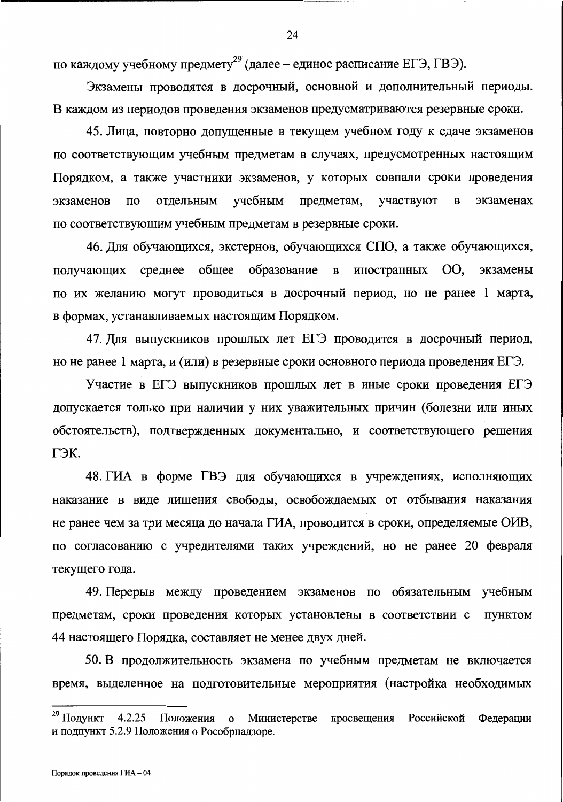по каждому учебному предмету<sup>29</sup> (далее – единое расписание ЕГЭ, ГВЭ).

Экзамены проводятся в досрочный, основной и дополнительный периоды. В каждом из периодов проведения экзаменов предусматриваются резервные сроки.

24

45. Лица, повторно допущенные в текущем учебном году к сдаче экзаменов по соответствующим учебным предметам в случаях, предусмотренных настоящим Порядком, а также участники экзаменов, у которых совпали сроки проведения учебным предметам, участвуют  $\bf{B}$ экзаменах  $\Pi$ O отдельным экзаменов по соответствующим учебным предметам в резервные сроки.

46. Для обучающихся, экстернов, обучающихся СПО, а также обучающихся, получающих среднее общее образование в иностранных ОО, экзамены по их желанию могут проводиться в досрочный период, но не ранее 1 марта, в формах, устанавливаемых настоящим Порядком.

47. Для выпускников прошлых лет ЕГЭ проводится в досрочный период, но не ранее 1 марта, и (или) в резервные сроки основного периода проведения ЕГЭ.

Участие в ЕГЭ выпускников прошлых лет в иные сроки проведения ЕГЭ допускается только при наличии у них уважительных причин (болезни или иных обстоятельств), подтвержденных документально, и соответствующего решения ГЭК.

48. ГИА в форме ГВЭ для обучающихся в учреждениях, исполняющих наказание в виде лишения свободы, освобождаемых от отбывания наказания не ранее чем за три месяца до начала ГИА, проводится в сроки, определяемые ОИВ, по согласованию с учредителями таких учреждений, но не ранее 20 февраля текущего года.

49. Перерыв между проведением экзаменов по обязательным учебным предметам, сроки проведения которых установлены в соответствии с пунктом 44 настоящего Порядка, составляет не менее двух дней.

50. В продолжительность экзамена по учебным предметам не включается время, выделенное на подготовительные мероприятия (настройка необходимых

<sup>&</sup>lt;sup>29</sup> Подункт  $4.2.25$ о Министерстве просвещения Российской Федерации Положения и подпункт 5.2.9 Положения о Рособрнадзоре.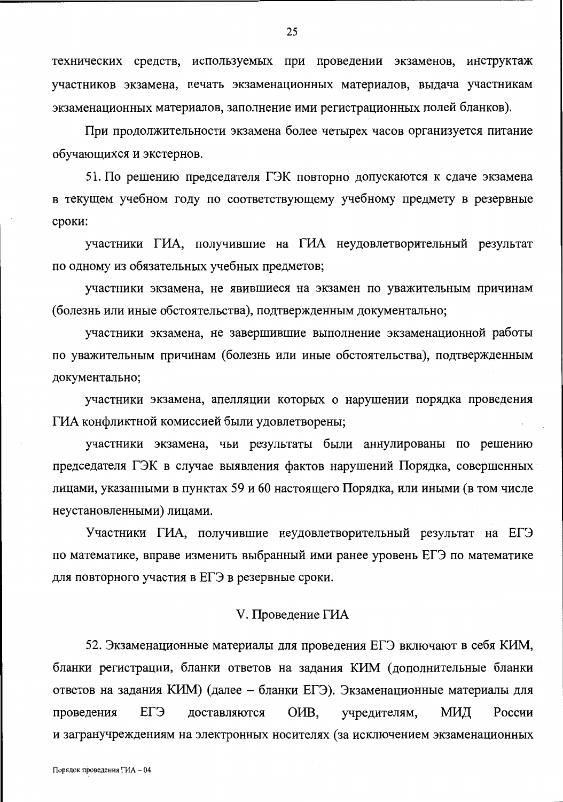технических средств, используемых при проведении экзаменов, инструктаж участников экзамена, печать экзаменационных материалов, выдача участникам экзаменационных материалов, заполнение ими регистрационных полей бланков).

При продолжительности экзамена более четырех часов организуется питание обучающихся и экстернов.

51. По решению председателя ГЭК повторно допускаются к сдаче экзамена в текущем учебном году по соответствующему учебному предмету в резервные сроки:

участники ГИА, получившие на ГИА неудовлетворительный результат по одному из обязательных учебных предметов;

участники экзамена, не явившиеся на экзамен по уважительным причинам (болезнь или иные обстоятельства), подтвержденным документально;

участники экзамена, не завершившие выполнение экзаменационной работы по уважительным причинам (болезнь или иные обстоятельства), подтвержденным документально;

участники экзамена, апелляции которых о нарушении порядка проведения ГИА конфликтной комиссией были удовлетворены;

участники экзамена, чьи результаты были аннулированы по решению председателя ГЭК в случае выявления фактов нарушений Порядка, совершенных лицами, указанными в пунктах 59 и 60 настоящего Порядка, или иными (в том числе неустановленными) лицами.

Участники ГИА, получившие неудовлетворительный результат на ЕГЭ по математике, вправе изменить выбранный ими ранее уровень ЕГЭ по математике для повторного участия в ЕГЭ в резервные сроки.

## V. Проведение ГИА

52. Экзаменационные материалы для проведения ЕГЭ включают в себя КИМ, бланки регистрации, бланки ответов на задания КИМ (дополнительные бланки ответов на задания КИМ) (далее - бланки ЕГЭ). Экзаменационные материалы для учредителям, ЕГЭ доставляются OHB, МИД России проведения и загранучреждениям на электронных носителях (за исключением экзаменационных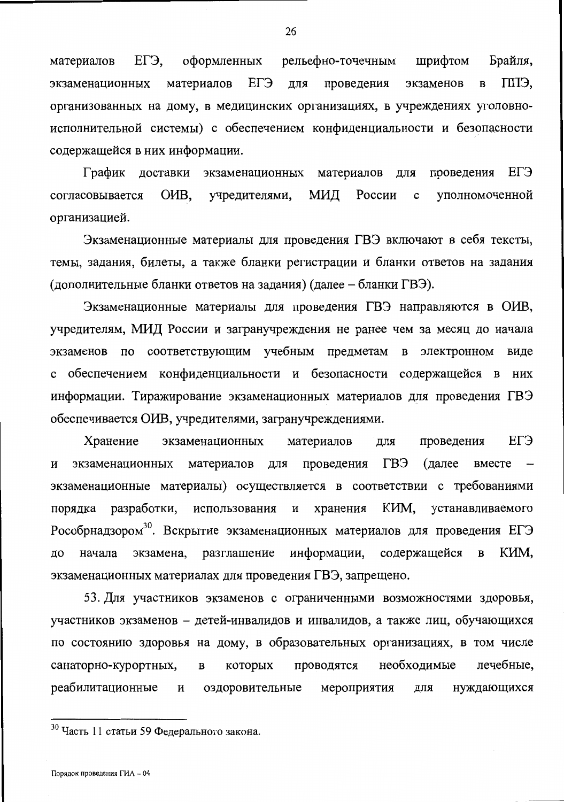Брайля, материалов ЕГЭ, оформленных рельефно-точечным шрифтом ЕГЭ материалов для проведения ППЭ. экзаменационных экзаменов  $\overline{B}$ организованных на дому, в медицинских организациях, в учреждениях уголовноисполнительной системы) с обеспечением конфиденциальности и безопасности содержащейся в них информации.

График доставки экзаменационных материалов для проведения ЕГЭ O<sub>H</sub>B. МИД России согласовывается учредителями,  $\mathbf{C}$ уполномоченной организацией.

Экзаменационные материалы для проведения ГВЭ включают в себя тексты, темы, задания, билеты, а также бланки регистрации и бланки ответов на задания (дополнительные бланки ответов на задания) (далее – бланки ГВЭ).

Экзаменационные материалы для проведения ГВЭ направляются в ОИВ, учредителям, МИД России и загранучреждения не ранее чем за месяц до начала экзаменов по соответствующим учебным предметам в электронном виде обеспечением конфиденциальности и безопасности содержащейся в них информации. Тиражирование экзаменационных материалов для проведения ГВЭ обеспечивается ОИВ, учредителями, загранучреждениями.

EL<sub>3</sub> Хранение экзаменационных проведения материалов ДЛЯ проведения ГВЭ (далее экзаменационных материалов ДЛЯ вместе И экзаменационные материалы) осуществляется в соответствии с требованиями порядка разработки, использования и КИМ, хранения устанавливаемого Рособрнадзором<sup>30</sup>. Вскрытие экзаменационных материалов для проведения ЕГЭ разглашение информации, содержащейся КИМ, ДО начала экзамена,  $\, {\bf B}$ экзаменационных материалах для проведения ГВЭ, запрещено.

53. Для участников экзаменов с ограниченными возможностями здоровья, участников экзаменов – детей-инвалидов и инвалидов, а также лиц, обучающихся по состоянию здоровья на дому, в образовательных организациях, в том числе необходимые лечебные, санаторно-курортных, которых проводятся  $\, {\bf B}$ реабилитационные И оздоровительные мероприятия для нуждающихся

<sup>&</sup>lt;sup>30</sup> Часть 11 статьи 59 Федерального закона.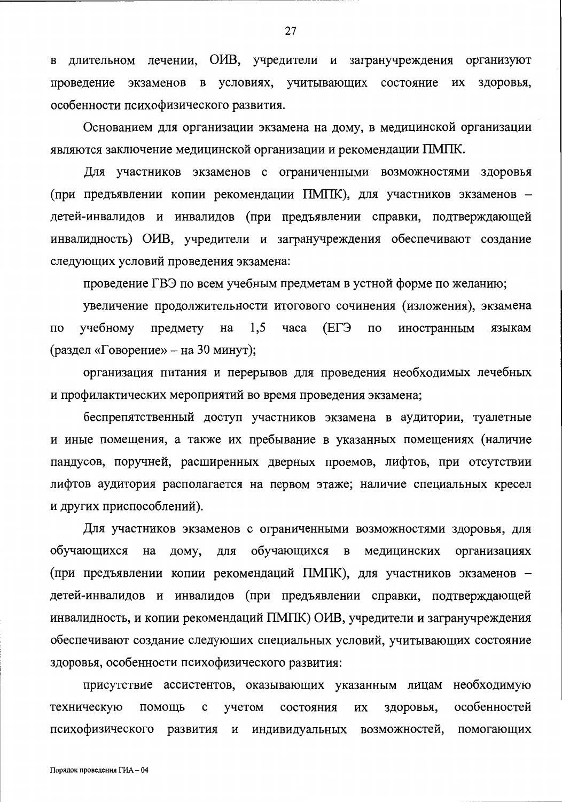длительном лечении, ОИВ, учредители и загранучреждения организуют  $\mathbf{R}$ экзаменов в условиях, учитывающих состояние их здоровья, проведение особенности психофизического развития.

Основанием для организации экзамена на дому, в медицинской организации являются заключение медицинской организации и рекомендации ПМПК.

Для участников экзаменов с ограниченными возможностями здоровья (при предъявлении копии рекомендации ПМПК), для участников экзаменов детей-инвалидов и инвалидов (при предъявлении справки, подтверждающей инвалидность) ОИВ, учредители и загранучреждения обеспечивают создание следующих условий проведения экзамена:

проведение ГВЭ по всем учебным предметам в устной форме по желанию;

увеличение продолжительности итогового сочинения (изложения), экзамена учебному предмету на 1,5 часа  $E\Gamma$  $\overline{10}$ иностранным  $\overline{a}$ языкам (раздел «Говорение» - на 30 минут);

организация питания и перерывов для проведения необходимых лечебных и профилактических мероприятий во время проведения экзамена;

беспрепятственный доступ участников экзамена в аудитории, туалетные и иные помещения, а также их пребывание в указанных помещениях (наличие пандусов, поручней, расширенных дверных проемов, лифтов, при отсутствии лифтов аудитория располагается на первом этаже; наличие специальных кресел и других приспособлений).

Для участников экзаменов с ограниченными возможностями здоровья, для обучающихся обучающихся в медицинских организациях на дому, ДЛЯ (при предъявлении копии рекомендаций ПМПК), для участников экзаменов – детей-инвалидов и инвалидов (при предъявлении справки, подтверждающей инвалидность, и копии рекомендаций ПМПК) ОИВ, учредители и загранучреждения обеспечивают создание следующих специальных условий, учитывающих состояние здоровья, особенности психофизического развития:

присутствие ассистентов, оказывающих указанным лицам необходимую техническую учетом состояния ИХ здоровья, особенностей помощь  $\mathbf c$ психофизического развития и индивидуальных возможностей, помогающих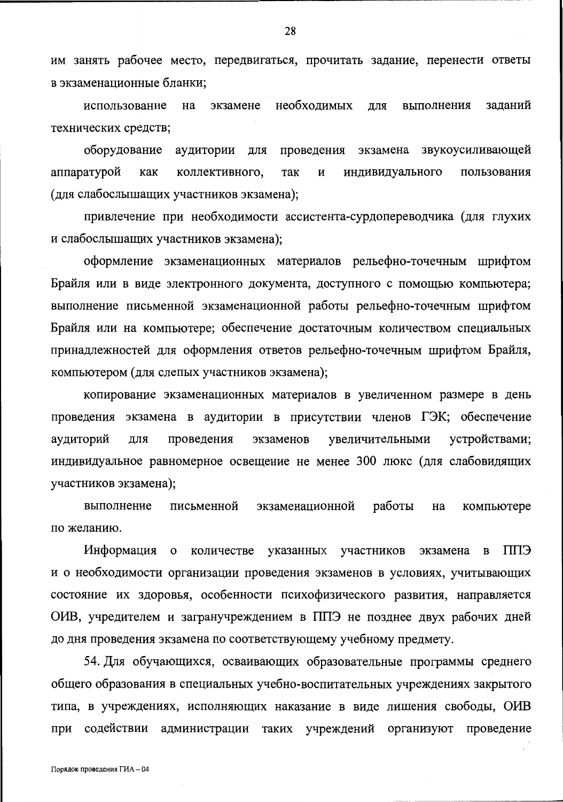им занять рабочее место, передвигаться, прочитать задание, перенести ответы в экзаменационные бланки;

необходимых заланий использование экзамене **RILL** выполнения на технических средств;

оборудование аудитории для проведения экзамена звукоусиливающей аппаратурой как так  $\mathbf H$ индивидуального пользования коллективного, (для слабослышащих участников экзамена);

привлечение при необходимости ассистента-сурдопереводчика (для глухих и слабослышащих участников экзамена);

оформление экзаменационных материалов рельефно-точечным шрифтом Брайля или в виде электронного документа, доступного с помощью компьютера; выполнение письменной экзаменационной работы рельефно-точечным шрифтом Брайля или на компьютере; обеспечение достаточным количеством специальных принадлежностей для оформления ответов рельефно-точечным шрифтом Брайля, компьютером (для слепых участников экзамена);

копирование экзаменационных материалов в увеличенном размере в день проведения экзамена в аудитории в присутствии членов ГЭК; обеспечение увеличительными устройствами; аудиторий ДЛЯ проведения экзаменов индивидуальное равномерное освещение не менее 300 люкс (для слабовидящих участников экзамена);

работы выполнение письменной экзаменационной на компьютере по желанию.

Информация о количестве указанных участников экзамена  $\mathbf{B}$ ЕЩ и о необходимости организации проведения экзаменов в условиях, учитывающих состояние их здоровья, особенности психофизического развития, направляется ОИВ, учредителем и загранучреждением в ППЭ не позднее двух рабочих дней до дня проведения экзамена по соответствующему учебному предмету.

54. Для обучающихся, осваивающих образовательные программы среднего общего образования в специальных учебно-воспитательных учреждениях закрытого типа, в учреждениях, исполняющих наказание в виде лишения свободы, ОИВ при содействии администрации таких учреждений организуют проведение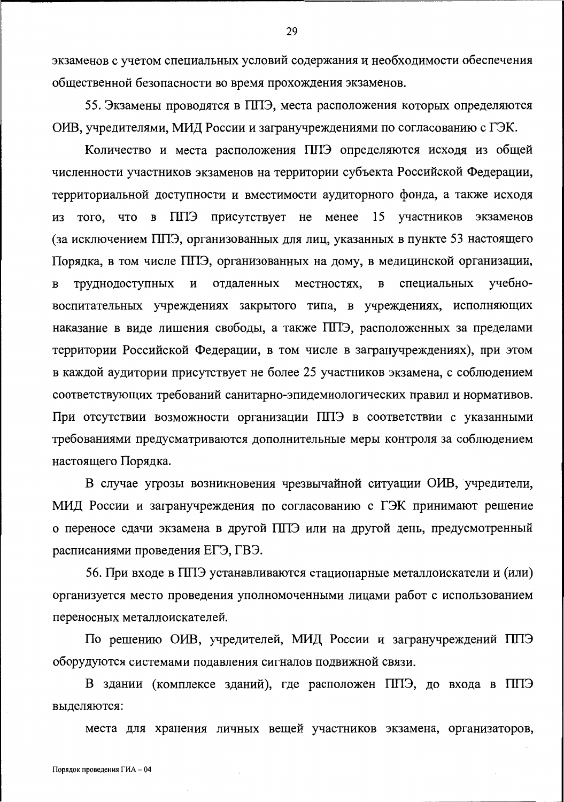экзаменов с учетом специальных условий содержания и необходимости обеспечения общественной безопасности во время прохождения экзаменов.

55. Экзамены проводятся в ППЭ, места расположения которых определяются ОИВ, учредителями, МИД России и загранучреждениями по согласованию с ГЭК.

Количество и места расположения ППЭ определяются исходя из общей численности участников экзаменов на территории субъекта Российской Федерации, территориальной доступности и вместимости аудиторного фонда, а также исходя из того, что в ППЭ присутствует не менее 15 участников экзаменов (за исключением ППЭ, организованных для лиц, указанных в пункте 53 настоящего Порядка, в том числе ППЭ, организованных на дому, в медицинской организации, учебноотдаленных местностях,  $\, {\bf B}$ специальных труднодоступных И  $\bf{B}$ воспитательных учреждениях закрытого типа, в учреждениях, исполняющих наказание в виде лишения свободы, а также ППЭ, расположенных за пределами территории Российской Федерации, в том числе в загранучреждениях), при этом в каждой аудитории присутствует не более 25 участников экзамена, с соблюдением соответствующих требований санитарно-эпидемиологических правил и нормативов. При отсутствии возможности организации ППЭ в соответствии с указанными требованиями предусматриваются дополнительные меры контроля за соблюдением настоящего Порядка.

В случае угрозы возникновения чрезвычайной ситуации ОИВ, учредители, МИД России и загранучреждения по согласованию с ГЭК принимают решение о переносе сдачи экзамена в другой ППЭ или на другой день, предусмотренный расписаниями проведения ЕГЭ, ГВЭ.

56. При входе в ППЭ устанавливаются стационарные металлоискатели и (или) организуется место проведения уполномоченными лицами работ с использованием переносных металлоискателей.

По решению ОИВ, учредителей, МИД России и загранучреждений ППЭ оборудуются системами подавления сигналов подвижной связи.

В здании (комплексе зданий), где расположен ППЭ, до входа в ППЭ выделяются:

места для хранения личных вещей участников экзамена, организаторов,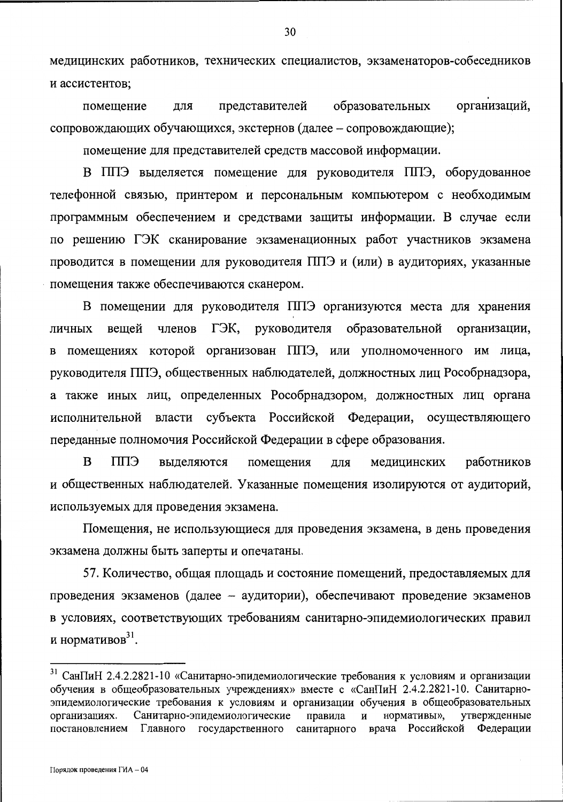медицинских работников, технических специалистов, экзаменаторов-собеседников и ассистентов;

организаций, образовательных представителей ДЛЯ помещение сопровождающих обучающихся, экстернов (далее - сопровождающие);

помещение для представителей средств массовой информации.

В ППЭ выделяется помещение для руководителя ППЭ, оборудованное телефонной связью, принтером и персональным компьютером с необходимым программным обеспечением и средствами защиты информации. В случае если по решению ГЭК сканирование экзаменационных работ участников экзамена проводится в помещении для руководителя ППЭ и (или) в аудиториях, указанные помещения также обеспечиваются сканером.

В помещении для руководителя ППЭ организуются места для хранения ГЭК, руководителя образовательной членов организации, вешей личных помещениях которой организован ППЭ, или уполномоченного им лица,  $\bf{B}$ руководителя ППЭ, общественных наблюдателей, должностных лиц Рособрнадзора, а также иных лиц, определенных Рособрнадзором, должностных лиц органа исполнительной власти субъекта Российской Федерации, осуществляющего переданные полномочия Российской Федерации в сфере образования.

B ЕШІ выделяются помещения медицинских работников ДЛЯ и общественных наблюдателей. Указанные помещения изолируются от аудиторий, используемых для проведения экзамена.

Помещения, не использующиеся для проведения экзамена, в день проведения экзамена должны быть заперты и опечатаны.

57. Количество, общая площадь и состояние помещений, предоставляемых для проведения экзаменов (далее - аудитории), обеспечивают проведение экзаменов в условиях, соответствующих требованиям санитарно-эпидемиологических правил и нормативов $31$ .

<sup>&</sup>lt;sup>31</sup> СанПиН 2.4.2.2821-10 «Санитарно-эпидемиологические требования к условиям и организации обучения в общеобразовательных учреждениях» вместе с «СанПиН 2.4.2.2821-10. Санитарноэпидемиологические требования к условиям и организации обучения в общеобразовательных Санитарно-эпидемиологические правила нормативы», организациях.  $\,$  M утвержденные постановлением Главного государственного санитарного врача Российской Федерации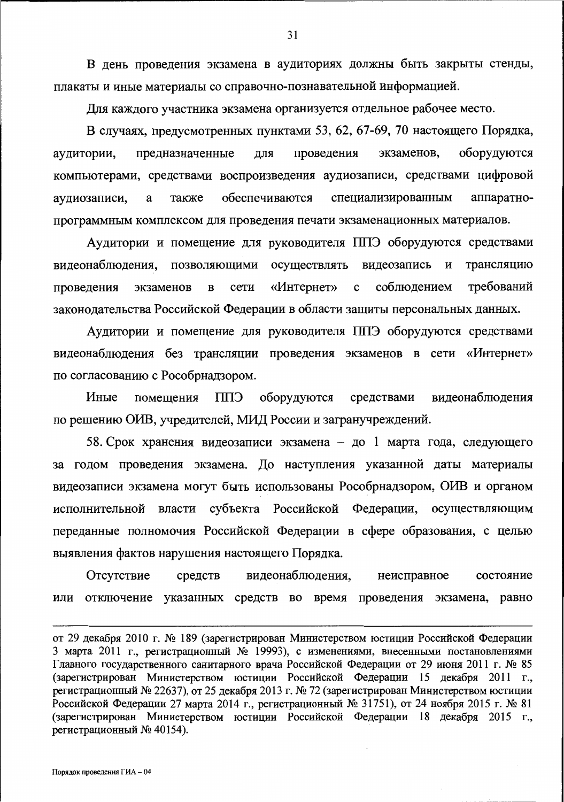В день проведения экзамена в аудиториях должны быть закрыты стенды, плакаты и иные материалы со справочно-познавательной информацией.

Для каждого участника экзамена организуется отдельное рабочее место.

В случаях, предусмотренных пунктами 53, 62, 67-69, 70 настоящего Порядка, оборудуются экзаменов. предназначенные ЛЛЯ проведения аудитории, компьютерами, средствами воспроизведения аудиозаписи, средствами цифровой обеспечиваются специализированным аппаратнотакже аудиозаписи, a программным комплексом для проведения печати экзаменационных материалов.

Аудитории и помещение для руководителя ППЭ оборудуются средствами трансляцию видеонаблюдения, позволяющими осуществлять видеозапись и требований «Интернет» соблюдением проведения экзаменов  $\, {\bf B}$ сети  $\mathbf c$ законодательства Российской Федерации в области защиты персональных данных.

Аудитории и помещение для руководителя ППЭ оборудуются средствами видеонаблюдения без трансляции проведения экзаменов в сети «Интернет» по согласованию с Рособрнадзором.

ППЭ оборудуются средствами видеонаблюдения Иные помещения по решению ОИВ, учредителей, МИД России и загранучреждений.

58. Срок хранения видеозаписи экзамена - до 1 марта года, следующего за годом проведения экзамена. До наступления указанной даты материалы видеозаписи экзамена могут быть использованы Рособрнадзором, ОИВ и органом исполнительной власти субъекта Российской Федерации, осуществляющим переданные полномочия Российской Федерации в сфере образования, с целью выявления фактов нарушения настоящего Порядка.

видеонаблюдения, неисправное Отсутствие средств состояние или отключение указанных средств во время проведения экзамена, равно

от 29 декабря 2010 г. № 189 (зарегистрирован Министерством юстиции Российской Федерации 3 марта 2011 г., регистрационный № 19993), с изменениями, внесенными постановлениями Главного государственного санитарного врача Российской Федерации от 29 июня 2011 г. № 85 (зарегистрирован Министерством юстиции Российской Федерации 15 декабря 2011 г., регистрационный № 22637), от 25 декабря 2013 г. № 72 (зарегистрирован Министерством юстиции Российской Федерации 27 марта 2014 г., регистрационный № 31751), от 24 ноября 2015 г. № 81 (зарегистрирован Министерством юстиции Российской Федерации 18 декабря 2015 г., регистрационный № 40154).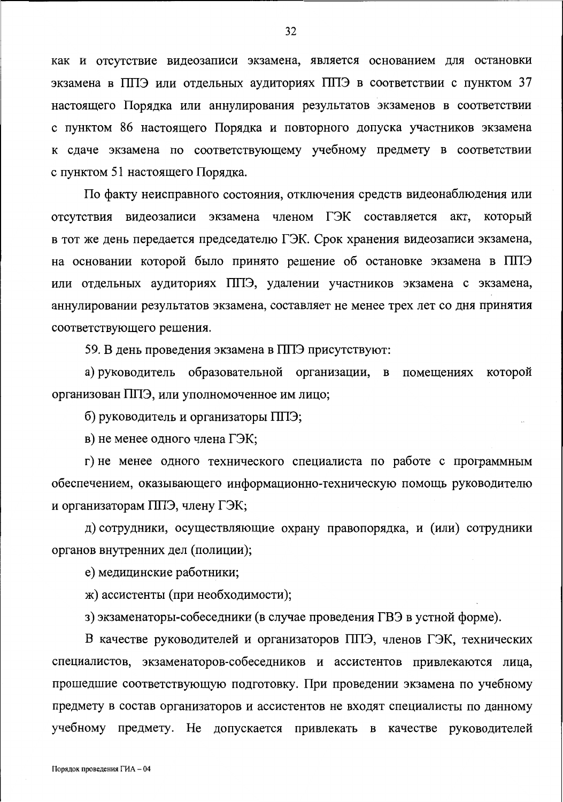как и отсутствие видеозаписи экзамена, является основанием для остановки экзамена в ППЭ или отдельных аудиториях ППЭ в соответствии с пунктом 37 настоящего Порядка или аннулирования результатов экзаменов в соответствии с пунктом 86 настоящего Порядка и повторного допуска участников экзамена к сдаче экзамена по соответствующему учебному предмету в соответствии с пунктом 51 настоящего Порядка.

По факту неисправного состояния, отключения средств видеонаблюдения или отсутствия видеозаписи экзамена членом ГЭК составляется акт, который в тот же день передается председателю ГЭК. Срок хранения видеозаписи экзамена, на основании которой было принято решение об остановке экзамена в ППЭ или отдельных аудиториях ППЭ, удалении участников экзамена с экзамена, аннулировании результатов экзамена, составляет не менее трех лет со дня принятия соответствующего решения.

59. В день проведения экзамена в ППЭ присутствуют:

а) руководитель образовательной организации, в помещениях которой организован ППЭ, или уполномоченное им лицо;

б) руководитель и организаторы ППЭ;

в) не менее одного члена ГЭК;

г) не менее одного технического специалиста по работе с программным обеспечением, оказывающего информационно-техническую помощь руководителю и организаторам ППЭ, члену ГЭК;

д) сотрудники, осуществляющие охрану правопорядка, и (или) сотрудники органов внутренних дел (полиции);

е) медицинские работники;

ж) ассистенты (при необходимости);

з) экзаменаторы-собеседники (в случае проведения ГВЭ в устной форме).

В качестве руководителей и организаторов ППЭ, членов ГЭК, технических специалистов, экзаменаторов-собеседников и ассистентов привлекаются лица, прошедшие соответствующую подготовку. При проведении экзамена по учебному предмету в состав организаторов и ассистентов не входят специалисты по данному учебному предмету. Не допускается привлекать в качестве руководителей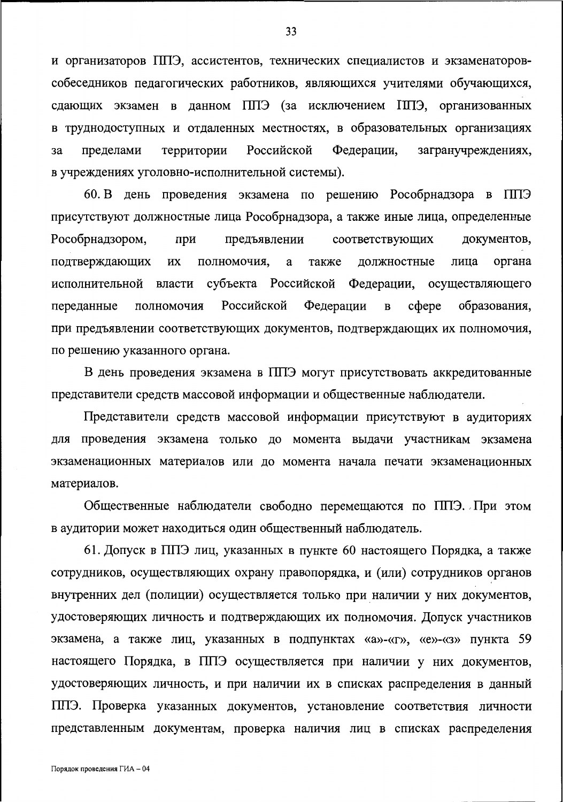и организаторов ППЭ, ассистентов, технических специалистов и экзаменаторовсобеседников педагогических работников, являющихся учителями обучающихся, сдающих экзамен в данном ППЭ (за исключением ППЭ, организованных в труднодоступных и отдаленных местностях, в образовательных организациях территории Российской Федерации, загранучреждениях, пределами за в учреждениях уголовно-исполнительной системы).

60. В день проведения экзамена по решению Рособрнадзора в ППЭ присутствуют должностные лица Рособрнадзора, а также иные лица, определенные Рособрнадзором, при предъявлении соответствующих документов, должностные лица органа подтверждающих ИX полномочия, a также исполнительной власти субъекта Российской Федерации, осуществляющего полномочия Российской Федерации  $\overline{B}$  $c$   $depe$ образования. переданные при предъявлении соответствующих документов, подтверждающих их полномочия, по решению указанного органа.

В день проведения экзамена в ППЭ могут присутствовать аккредитованные представители средств массовой информации и общественные наблюдатели.

Представители средств массовой информации присутствуют в аудиториях для проведения экзамена только до момента выдачи участникам экзамена экзаменационных материалов или до момента начала печати экзаменационных материалов.

Общественные наблюдатели свободно перемещаются по ППЭ. При этом в аудитории может находиться один общественный наблюдатель.

61. Допуск в ППЭ лиц, указанных в пункте 60 настоящего Порядка, а также сотрудников, осуществляющих охрану правопорядка, и (или) сотрудников органов внутренних дел (полиции) осуществляется только при наличии у них документов, удостоверяющих личность и подтверждающих их полномочия. Допуск участников экзамена, а также лиц, указанных в подпунктах «а»-«г», «е»-«з» пункта 59 настоящего Порядка, в ППЭ осуществляется при наличии у них документов, удостоверяющих личность, и при наличии их в списках распределения в данный ППЭ. Проверка указанных документов, установление соответствия личности представленным документам, проверка наличия лиц в списках распределения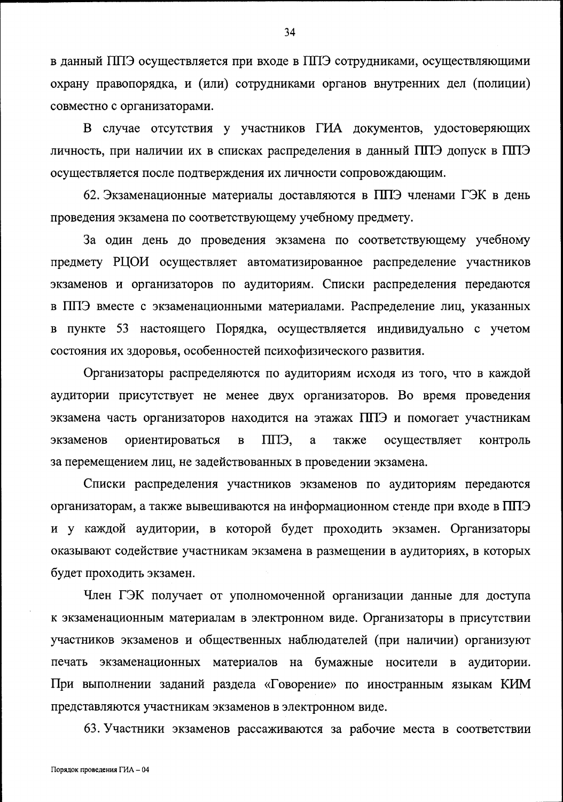в данный ППЭ осуществляется при входе в ППЭ сотрудниками, осуществляющими охрану правопорядка, и (или) сотрудниками органов внутренних дел (полиции) совместно с организаторами.

В случае отсутствия у участников ГИА документов, удостоверяющих личность, при наличии их в списках распределения в данный ППЭ допуск в ППЭ осуществляется после подтверждения их личности сопровождающим.

62. Экзаменационные материалы доставляются в ППЭ членами ГЭК в день проведения экзамена по соответствующему учебному предмету.

За один день до проведения экзамена по соответствующему учебному предмету РЦОИ осуществляет автоматизированное распределение участников экзаменов и организаторов по аудиториям. Списки распределения передаются в ППЭ вместе с экзаменационными материалами. Распределение лиц, указанных пункте 53 настоящего Порядка, осуществляется индивидуально с учетом  $\bf{B}$ состояния их здоровья, особенностей психофизического развития.

Организаторы распределяются по аудиториям исходя из того, что в каждой аудитории присутствует не менее двух организаторов. Во время проведения экзамена часть организаторов находится на этажах ППЭ и помогает участникам ППЭ. экзаменов ориентироваться  $\, {\bf B}$ a также осуществляет контроль за перемещением лиц, не задействованных в проведении экзамена.

Списки распределения участников экзаменов по аудиториям передаются организаторам, а также вывешиваются на информационном стенде при входе в ППЭ и у каждой аудитории, в которой будет проходить экзамен. Организаторы оказывают содействие участникам экзамена в размещении в аудиториях, в которых будет проходить экзамен.

Член ГЭК получает от уполномоченной организации данные для доступа к экзаменационным материалам в электронном виде. Организаторы в присутствии участников экзаменов и общественных наблюдателей (при наличии) организуют печать экзаменационных материалов на бумажные носители в аудитории. При выполнении заданий раздела «Говорение» по иностранным языкам КИМ представляются участникам экзаменов в электронном виде.

63. Участники экзаменов рассаживаются за рабочие места в соответствии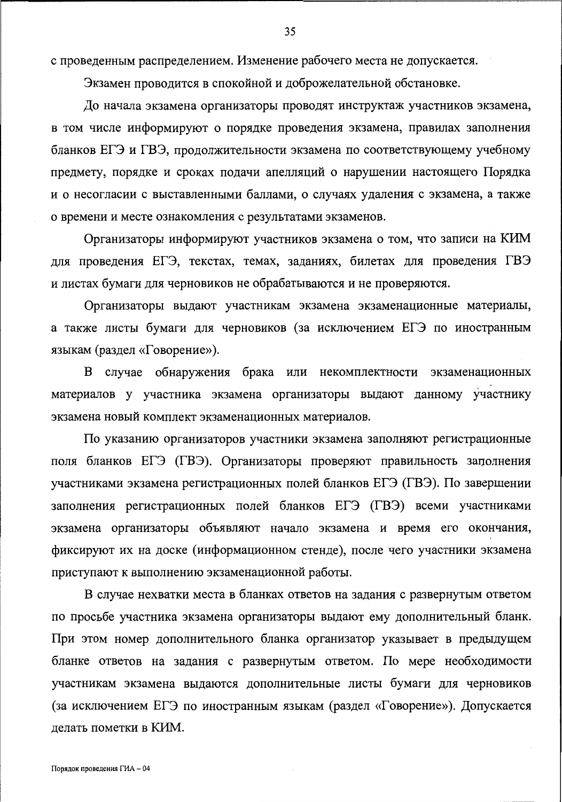с проведенным распределением. Изменение рабочего места не допускается.

Экзамен проводится в спокойной и доброжелательной обстановке.

До начала экзамена организаторы проводят инструктаж участников экзамена, в том числе информируют о порядке проведения экзамена, правилах заполнения бланков ЕГЭ и ГВЭ, продолжительности экзамена по соответствующему учебному предмету, порядке и сроках подачи апелляций о нарушении настоящего Порядка и о несогласии с выставленными баллами, о случаях удаления с экзамена, а также о времени и месте ознакомления с результатами экзаменов.

Организаторы информируют участников экзамена о том, что записи на КИМ для проведения ЕГЭ, текстах, темах, заданиях, билетах для проведения ГВЭ и листах бумаги для черновиков не обрабатываются и не проверяются.

Организаторы выдают участникам экзамена экзаменационные материалы, а также листы бумаги для черновиков (за исключением ЕГЭ по иностранным языкам (раздел «Говорение»).

В случае обнаружения брака или некомплектности экзаменационных материалов у участника экзамена организаторы выдают данному участнику экзамена новый комплект экзаменационных материалов.

По указанию организаторов участники экзамена заполняют регистрационные поля бланков ЕГЭ (ГВЭ). Организаторы проверяют правильность заполнения участниками экзамена регистрационных полей бланков ЕГЭ (ГВЭ). По завершении заполнения регистрационных полей бланков ЕГЭ (ГВЭ) всеми участниками экзамена организаторы объявляют начало экзамена и время его окончания, фиксируют их на доске (информационном стенде), после чего участники экзамена приступают к выполнению экзаменационной работы.

В случае нехватки места в бланках ответов на задания с развернутым ответом по просьбе участника экзамена организаторы выдают ему дополнительный бланк. При этом номер дополнительного бланка организатор указывает в предыдущем бланке ответов на задания с развернутым ответом. По мере необходимости участникам экзамена выдаются дополнительные листы бумаги для черновиков (за исключением ЕГЭ по иностранным языкам (раздел «Говорение»). Допускается делать пометки в КИМ.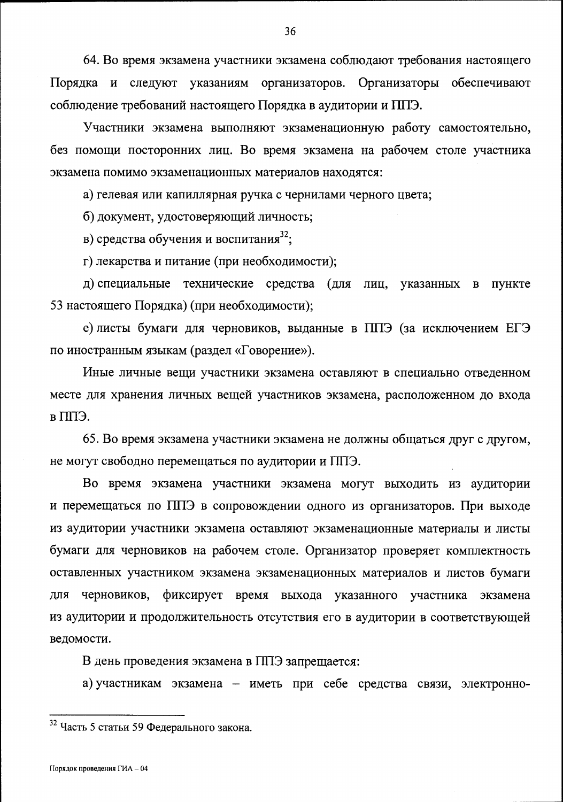64. Во время экзамена участники экзамена соблюдают требования настоящего Порядка и следуют указаниям организаторов. Организаторы обеспечивают соблюдение требований настоящего Порядка в аудитории и ППЭ.

Участники экзамена выполняют экзаменационную работу самостоятельно, без помощи посторонних лиц. Во время экзамена на рабочем столе участника экзамена помимо экзаменационных материалов находятся:

а) гелевая или капиллярная ручка с чернилами черного цвета;

б) документ, удостоверяющий личность;

в) средства обучения и воспитания<sup>32</sup>;

г) лекарства и питание (при необходимости);

д) специальные технические средства (для лиц, указанных в пункте 53 настоящего Порядка) (при необходимости);

е) листы бумаги для черновиков, выданные в ППЭ (за исключением ЕГЭ по иностранным языкам (раздел «Говорение»).

Иные личные вещи участники экзамена оставляют в специально отведенном месте для хранения личных вещей участников экзамена, расположенном до входа в ППЭ.

65. Во время экзамена участники экзамена не должны общаться друг с другом, не могут свободно перемещаться по аудитории и ППЭ.

Во время экзамена участники экзамена могут выходить из аудитории и перемещаться по ППЭ в сопровождении одного из организаторов. При выходе из аудитории участники экзамена оставляют экзаменационные материалы и листы бумаги для черновиков на рабочем столе. Организатор проверяет комплектность оставленных участником экзамена экзаменационных материалов и листов бумаги ДЛЯ черновиков, фиксирует время выхода указанного участника экзамена из аудитории и продолжительность отсутствия его в аудитории в соответствующей ведомости.

В день проведения экзамена в ППЭ запрещается:

а) участникам экзамена - иметь при себе средства связи, электронно-

<sup>&</sup>lt;sup>32</sup> Часть 5 статьи 59 Федерального закона.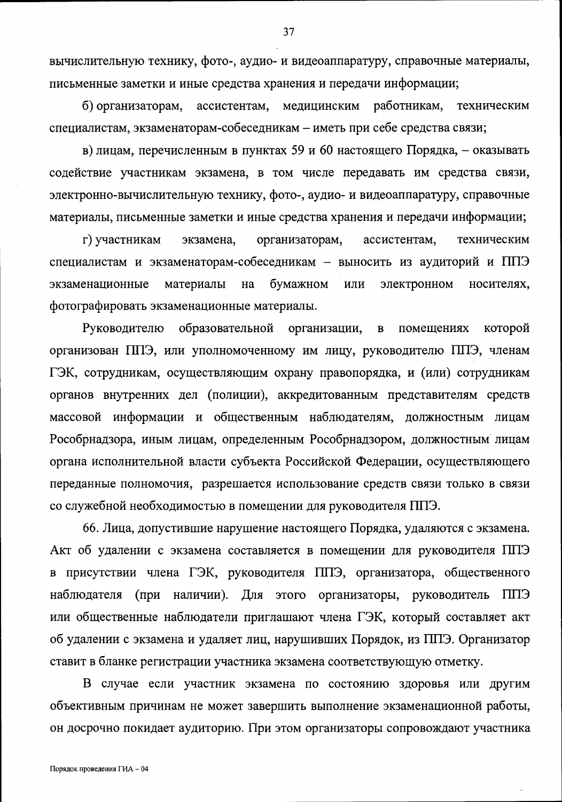вычислительную технику, фото-, аудио- и видеоаппаратуру, справочные материалы, письменные заметки и иные средства хранения и передачи информации;

медицинским работникам, б) организаторам, ассистентам, техническим специалистам, экзаменаторам-собеседникам - иметь при себе средства связи;

в) лицам, перечисленным в пунктах 59 и 60 настоящего Порядка, - оказывать содействие участникам экзамена, в том числе передавать им средства связи, электронно-вычислительную технику, фото-, аудио- и видеоаппаратуру, справочные материалы, письменные заметки и иные средства хранения и передачи информации;

г) участникам организаторам, ассистентам, экзамена. техническим специалистам и экзаменаторам-собеседникам - выносить из аудиторий и ППЭ экзаменационные материалы бумажном ИЛИ электронном на носителях, фотографировать экзаменационные материалы.

образовательной Руководителю организации, которой  $\, {\bf B}$ помещениях организован ППЭ, или уполномоченному им лицу, руководителю ППЭ, членам ГЭК, сотрудникам, осуществляющим охрану правопорядка, и (или) сотрудникам органов внутренних дел (полиции), аккредитованным представителям средств массовой информации и общественным наблюдателям, должностным лицам Рособрнадзора, иным лицам, определенным Рособрнадзором, должностным лицам органа исполнительной власти субъекта Российской Федерации, осуществляющего переданные полномочия, разрешается использование средств связи только в связи со служебной необходимостью в помещении для руководителя ППЭ.

66. Лица, допустившие нарушение настоящего Порядка, удаляются с экзамена. Акт об удалении с экзамена составляется в помещении для руководителя ППЭ в присутствии члена ГЭК, руководителя ППЭ, организатора, общественного наблюдателя (при наличии). Для этого организаторы, руководитель ППЭ или общественные наблюдатели приглашают члена ГЭК, который составляет акт об удалении с экзамена и удаляет лиц, нарушивших Порядок, из ППЭ. Организатор ставит в бланке регистрации участника экзамена соответствующую отметку.

В случае если участник экзамена по состоянию здоровья или другим объективным причинам не может завершить выполнение экзаменационной работы, он досрочно покидает аудиторию. При этом организаторы сопровождают участника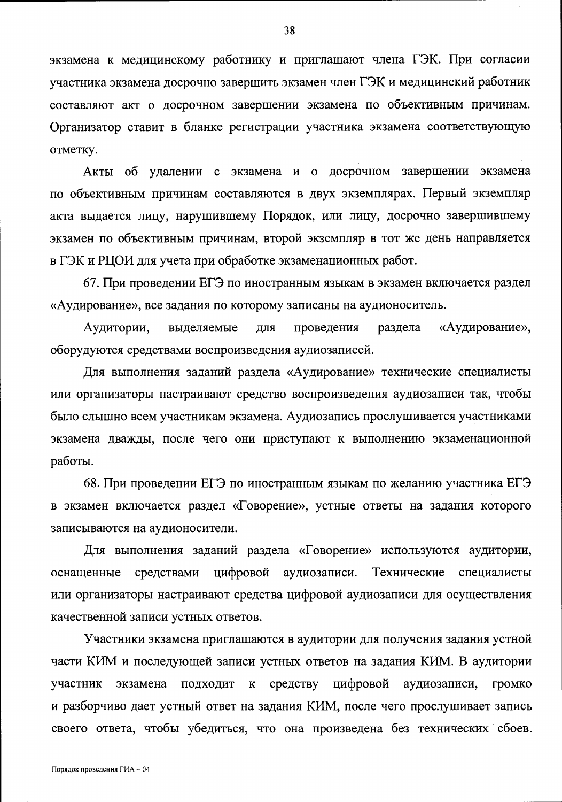экзамена к медицинскому работнику и приглашают члена ГЭК. При согласии участника экзамена досрочно завершить экзамен член ГЭК и медицинский работник составляют акт о досрочном завершении экзамена по объективным причинам. Организатор ставит в бланке регистрации участника экзамена соответствующую отметку.

Акты об удалении с экзамена и о досрочном завершении экзамена по объективным причинам составляются в двух экземплярах. Первый экземпляр акта выдается лицу, нарушившему Порядок, или лицу, досрочно завершившему экзамен по объективным причинам, второй экземпляр в тот же день направляется в ГЭК и РЦОИ для учета при обработке экзаменационных работ.

67. При проведении ЕГЭ по иностранным языкам в экзамен включается раздел «Аудирование», все задания по которому записаны на аудионоситель.

Аудитории, проведения «Аудирование», выделяемые для раздела оборудуются средствами воспроизведения аудиозаписей.

Для выполнения заданий раздела «Аудирование» технические специалисты или организаторы настраивают средство воспроизведения аудиозаписи так, чтобы было слышно всем участникам экзамена. Аудиозапись прослушивается участниками экзамена дважды, после чего они приступают к выполнению экзаменационной работы.

68. При проведении ЕГЭ по иностранным языкам по желанию участника ЕГЭ в экзамен включается раздел «Говорение», устные ответы на задания которого записываются на аудионосители.

Для выполнения заданий раздела «Говорение» используются аудитории, средствами цифровой аудиозаписи. Технические специалисты оснащенные или организаторы настраивают средства цифровой аудиозаписи для осуществления качественной записи устных ответов.

Участники экзамена приглашаются в аудитории для получения задания устной части КИМ и последующей записи устных ответов на задания КИМ. В аудитории цифровой участник экзамена ПОДХОДИТ  $\bf K$ средству аудиозаписи, Громко и разборчиво дает устный ответ на задания КИМ, после чего прослушивает запись своего ответа, чтобы убедиться, что она произведена без технических сбоев.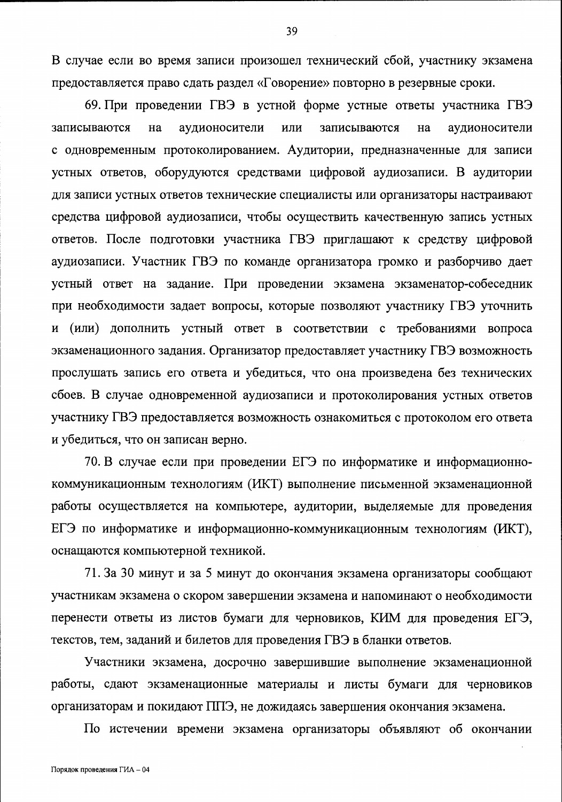В случае если во время записи произошел технический сбой, участнику экзамена предоставляется право сдать раздел «Говорение» повторно в резервные сроки.

69. При проведении ГВЭ в устной форме устные ответы участника ГВЭ записываются Ha аудионосители ИЛИ записываются Ha аудионосители с одновременным протоколированием. Аудитории, предназначенные для записи устных ответов, оборудуются средствами цифровой аудиозаписи. В аудитории для записи устных ответов технические специалисты или организаторы настраивают средства цифровой аудиозаписи, чтобы осуществить качественную запись устных ответов. После подготовки участника ГВЭ приглашают к средству цифровой аудиозаписи. Участник ГВЭ по команде организатора громко и разборчиво дает устный ответ на задание. При проведении экзамена экзаменатор-собеседник при необходимости задает вопросы, которые позволяют участнику ГВЭ уточнить и (или) дополнить устный ответ в соответствии с требованиями вопроса экзаменационного задания. Организатор предоставляет участнику ГВЭ возможность прослушать запись его ответа и убедиться, что она произведена без технических сбоев. В случае одновременной аудиозаписи и протоколирования устных ответов участнику ГВЭ предоставляется возможность ознакомиться с протоколом его ответа и убедиться, что он записан верно.

70. В случае если при проведении ЕГЭ по информатике и информационнокоммуникационным технологиям (ИКТ) выполнение письменной экзаменационной работы осуществляется на компьютере, аудитории, выделяемые для проведения ЕГЭ по информатике и информационно-коммуникационным технологиям (ИКТ), оснащаются компьютерной техникой.

71. За 30 минут и за 5 минут до окончания экзамена организаторы сообщают участникам экзамена о скором завершении экзамена и напоминают о необходимости перенести ответы из листов бумаги для черновиков, КИМ для проведения ЕГЭ, текстов, тем, заданий и билетов для проведения ГВЭ в бланки ответов.

Участники экзамена, досрочно завершившие выполнение экзаменационной работы, сдают экзаменационные материалы и листы бумаги для черновиков организаторам и покидают ППЭ, не дожидаясь завершения окончания экзамена.

По истечении времени экзамена организаторы объявляют об окончании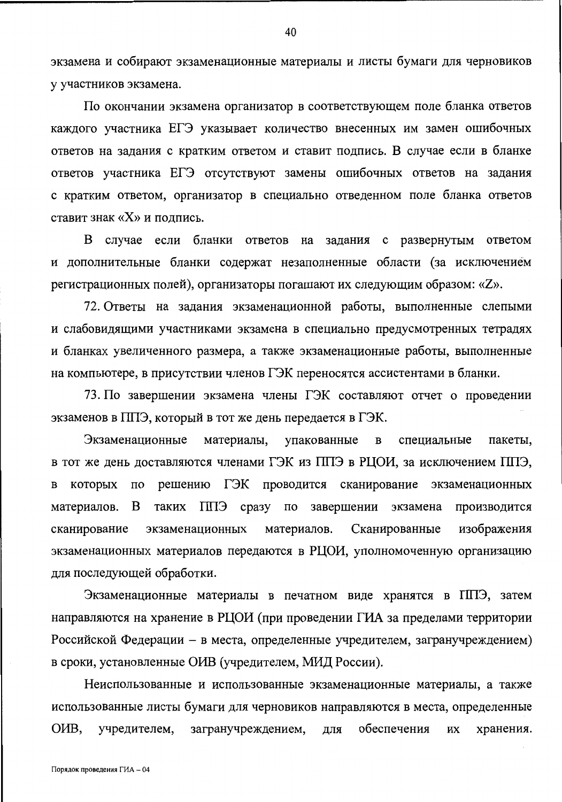экзамена и собирают экзаменационные материалы и листы бумаги для черновиков у участников экзамена.

По окончании экзамена организатор в соответствующем поле бланка ответов каждого участника ЕГЭ указывает количество внесенных им замен ошибочных ответов на задания с кратким ответом и ставит подпись. В случае если в бланке ответов участника ЕГЭ отсутствуют замены ошибочных ответов на задания с кратким ответом, организатор в специально отведенном поле бланка ответов ставит знак «Х» и подпись.

В случае если бланки ответов на задания с развернутым ответом и дополнительные бланки содержат незаполненные области (за исключением регистрационных полей), организаторы погашают их следующим образом: «Z».

72. Ответы на задания экзаменационной работы, выполненные слепыми и слабовидящими участниками экзамена в специально предусмотренных тетрадях и бланках увеличенного размера, а также экзаменационные работы, выполненные на компьютере, в присутствии членов ГЭК переносятся ассистентами в бланки.

73. По завершении экзамена члены ГЭК составляют отчет о проведении экзаменов в ППЭ, который в тот же день передается в ГЭК.

Экзаменационные материалы, упакованные  $\mathbf{B}$ специальные пакеты, в тот же день доставляются членами ГЭК из ППЭ в РЦОИ, за исключением ППЭ,  $\Pi$ O решению ГЭК проводится сканирование экзаменационных B которых материалов. B таких ППЭ сразу по завершении экзамена производится экзаменационных материалов. Сканированные изображения сканирование экзаменационных материалов передаются в РЦОИ, уполномоченную организацию для последующей обработки.

Экзаменационные материалы в печатном виде хранятся в ППЭ, затем направляются на хранение в РЦОИ (при проведении ГИА за пределами территории Российской Федерации - в места, определенные учредителем, загранучреждением) в сроки, установленные ОИВ (учредителем, МИД России).

Неиспользованные и использованные экзаменационные материалы, а также использованные листы бумаги для черновиков направляются в места, определенные OHB, учредителем, загранучреждением, обеспечения их ДЛЯ хранения.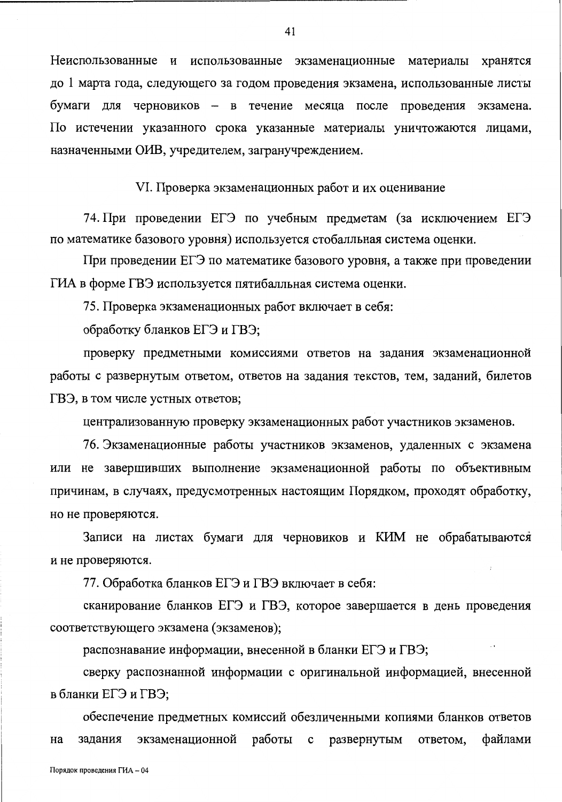Неиспользованные и использованные экзаменационные материалы хранятся до 1 марта года, следующего за годом проведения экзамена, использованные листы бумаги для черновиков - в течение месяца после проведения экзамена. По истечении указанного срока указанные материалы уничтожаются лицами, назначенными ОИВ, учредителем, загранучреждением.

VI. Проверка экзаменационных работ и их оценивание

74. При проведении ЕГЭ по учебным предметам (за исключением ЕГЭ по математике базового уровня) используется стобалльная система оценки.

При проведении ЕГЭ по математике базового уровня, а также при проведении ГИА в форме ГВЭ используется пятибалльная система оценки.

75. Проверка экзаменационных работ включает в себя:

обработку бланков ЕГЭ и ГВЭ;

проверку предметными комиссиями ответов на задания экзаменационной работы с развернутым ответом, ответов на задания текстов, тем, заданий, билетов ГВЭ, в том числе устных ответов;

централизованную проверку экзаменационных работ участников экзаменов.

76. Экзаменационные работы участников экзаменов, удаленных с экзамена или не завершивших выполнение экзаменационной работы по объективным причинам, в случаях, предусмотренных настоящим Порядком, проходят обработку, но не проверяются.

Записи на листах бумаги для черновиков и КИМ не обрабатываются и не проверяются.

77. Обработка бланков ЕГЭ и ГВЭ включает в себя:

сканирование бланков ЕГЭ и ГВЭ, которое завершается в день проведения соответствующего экзамена (экзаменов);

распознавание информации, внесенной в бланки ЕГЭ и ГВЭ;

сверку распознанной информации с оригинальной информацией, внесенной в бланки ЕГЭ и ГВЭ;

обеспечение предметных комиссий обезличенными копиями бланков ответов экзаменационной работы с развернутым файлами задания ответом, на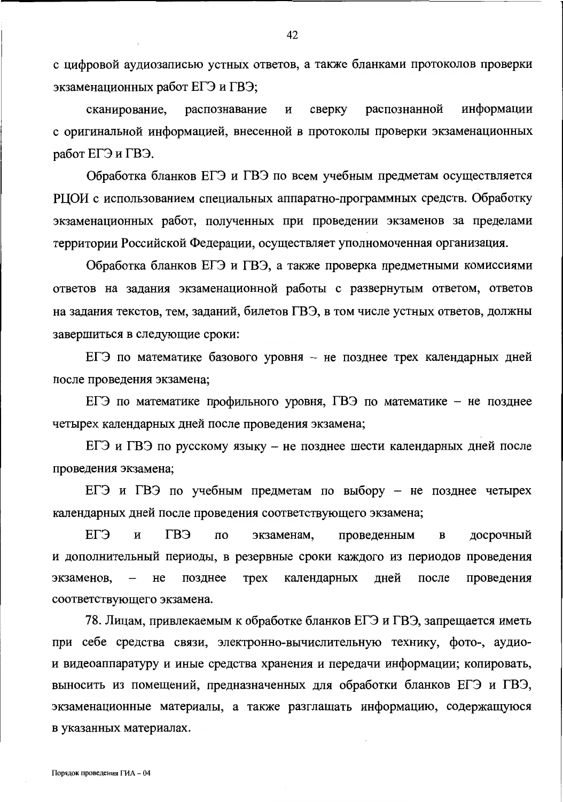с цифровой аудиозаписью устных ответов, а также бланками протоколов проверки экзаменационных работ ЕГЭ и ГВЭ;

сканирование, сверку распознанной информации распознавание  $\mathbf H$ с оригинальной информацией, внесенной в протоколы проверки экзаменационных работ ЕГЭ и ГВЭ.

Обработка бланков ЕГЭ и ГВЭ по всем учебным предметам осуществляется РЦОИ с использованием специальных аппаратно-программных средств. Обработку экзаменационных работ, полученных при проведении экзаменов за пределами территории Российской Федерации, осуществляет уполномоченная организация.

Обработка бланков ЕГЭ и ГВЭ, а также проверка предметными комиссиями ответов на задания экзаменационной работы с развернутым ответом, ответов на задания текстов, тем, заданий, билетов ГВЭ, в том числе устных ответов, должны завершиться в следующие сроки:

ЕГЭ по математике базового уровня – не позднее трех календарных дней после проведения экзамена;

ЕГЭ по математике профильного уровня, ГВЭ по математике - не позднее четырех календарных дней после проведения экзамена;

ЕГЭ и ГВЭ по русскому языку – не позднее шести календарных дней после проведения экзамена;

ЕГЭ и ГВЭ по учебным предметам по выбору - не позднее четырех календарных дней после проведения соответствующего экзамена;

ЕГЭ ГВЭ  $\mathbf{H}$  $\Pi$ O экзаменам, проведенным  $\, {\bf B}$ досрочный и дополнительный периоды, в резервные сроки каждого из периодов проведения экзаменов, позднее **Tpex** календарных дней после проведения He соответствующего экзамена.

78. Лицам, привлекаемым к обработке бланков ЕГЭ и ГВЭ, запрещается иметь при себе средства связи, электронно-вычислительную технику, фото-, аудиои видеоаппаратуру и иные средства хранения и передачи информации; копировать, выносить из помещений, предназначенных для обработки бланков ЕГЭ и ГВЭ, экзаменационные материалы, а также разглашать информацию, содержащуюся в указанных материалах.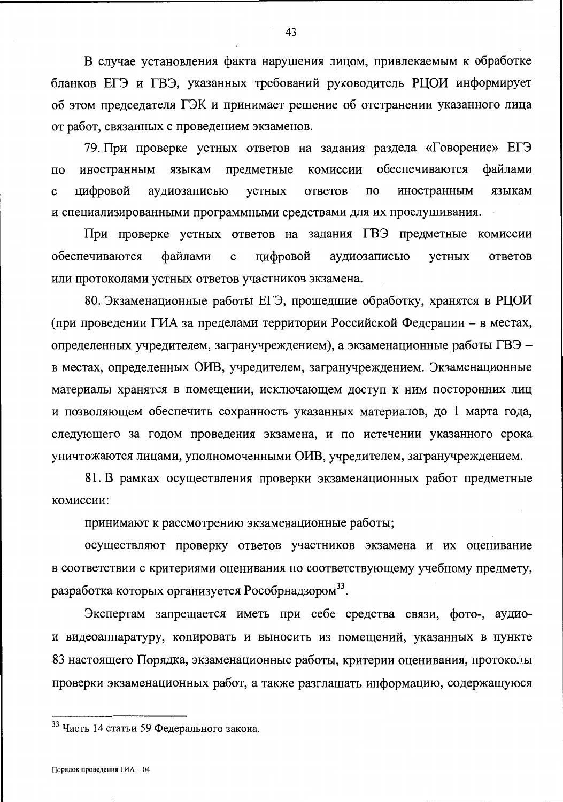В случае установления факта нарушения лицом, привлекаемым к обработке бланков ЕГЭ и ГВЭ, указанных требований руководитель РЦОИ информирует об этом председателя ГЭК и принимает решение об отстранении указанного лица от работ, связанных с проведением экзаменов.

79. При проверке устных ответов на задания раздела «Говорение» ЕГЭ обеспечиваются файлами предметные комиссии  $\Pi$ <sup>O</sup> иностранным языкам цифровой  $\Pi$ O иностранным языкам  $\mathbf{c}$ аудиозаписью устных ответов и специализированными программными средствами для их прослушивания.

При проверке устных ответов на задания ГВЭ предметные комиссии обеспечиваются файлами  $\mathbf c$ цифровой аудиозаписью устных ответов или протоколами устных ответов участников экзамена.

80. Экзаменационные работы ЕГЭ, прошедшие обработку, хранятся в РЦОИ (при проведении ГИА за пределами территории Российской Федерации - в местах, определенных учредителем, загранучреждением), а экзаменационные работы ГВЭ – в местах, определенных ОИВ, учредителем, загранучреждением. Экзаменационные материалы хранятся в помещении, исключающем доступ к ним посторонних лиц и позволяющем обеспечить сохранность указанных материалов, до 1 марта года, следующего за годом проведения экзамена, и по истечении указанного срока уничтожаются лицами, уполномоченными ОИВ, учредителем, загранучреждением.

81. В рамках осуществления проверки экзаменационных работ предметные комиссии:

принимают к рассмотрению экзаменационные работы;

осуществляют проверку ответов участников экзамена и их оценивание в соответствии с критериями оценивания по соответствующему учебному предмету, разработка которых организуется Рособрнадзором<sup>33</sup>.

Экспертам запрещается иметь при себе средства связи, фото-, аудиои видеоаппаратуру, копировать и выносить из помещений, указанных в пункте 83 настоящего Порядка, экзаменационные работы, критерии оценивания, протоколы проверки экзаменационных работ, а также разглашать информацию, содержащуюся

<sup>33</sup> Часть 14 статьи 59 Федерального закона.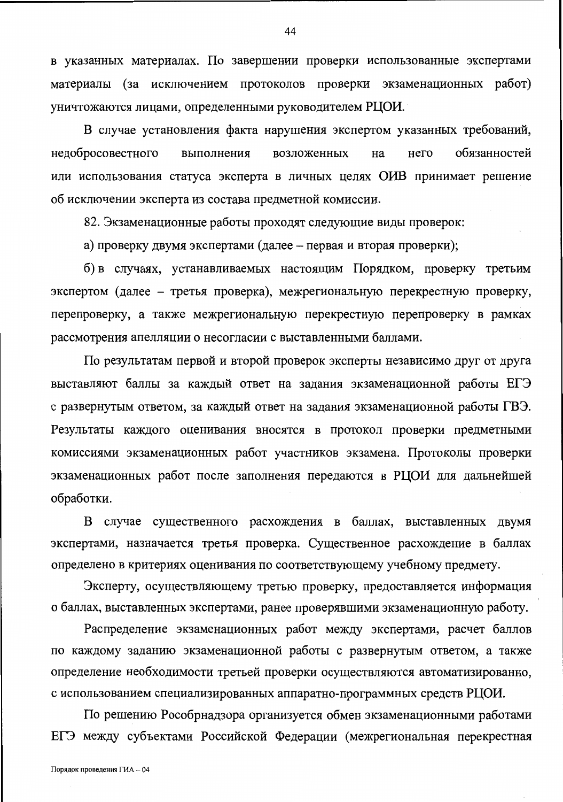в указанных материалах. По завершении проверки использованные экспертами материалы (за исключением протоколов проверки экзаменационных работ) уничтожаются лицами, определенными руководителем РЦОИ.

В случае установления факта нарушения экспертом указанных требований, недобросовестного выполнения возложенных на него обязанностей или использования статуса эксперта в личных целях ОИВ принимает решение об исключении эксперта из состава предметной комиссии.

82. Экзаменационные работы проходят следующие виды проверок:

а) проверку двумя экспертами (далее – первая и вторая проверки);

б) в случаях, устанавливаемых настоящим Порядком, проверку третьим экспертом (далее – третья проверка), межрегиональную перекрестную проверку, перепроверку, а также межрегиональную перекрестную перепроверку в рамках рассмотрения апелляции о несогласии с выставленными баллами.

По результатам первой и второй проверок эксперты независимо друг от друга выставляют баллы за каждый ответ на задания экзаменационной работы ЕГЭ с развернутым ответом, за каждый ответ на задания экзаменационной работы ГВЭ. Результаты каждого оценивания вносятся в протокол проверки предметными комиссиями экзаменационных работ участников экзамена. Протоколы проверки экзаменационных работ после заполнения передаются в РЦОИ для дальнейшей обработки.

В случае существенного расхождения в баллах, выставленных двумя экспертами, назначается третья проверка. Существенное расхождение в баллах определено в критериях оценивания по соответствующему учебному предмету.

Эксперту, осуществляющему третью проверку, предоставляется информация о баллах, выставленных экспертами, ранее проверявшими экзаменационную работу.

Распределение экзаменационных работ между экспертами, расчет баллов по каждому заданию экзаменационной работы с развернутым ответом, а также определение необходимости третьей проверки осуществляются автоматизированно, с использованием специализированных аппаратно-программных средств РЦОИ.

По решению Рособрнадзора организуется обмен экзаменационными работами ЕГЭ между субъектами Российской Федерации (межрегиональная перекрестная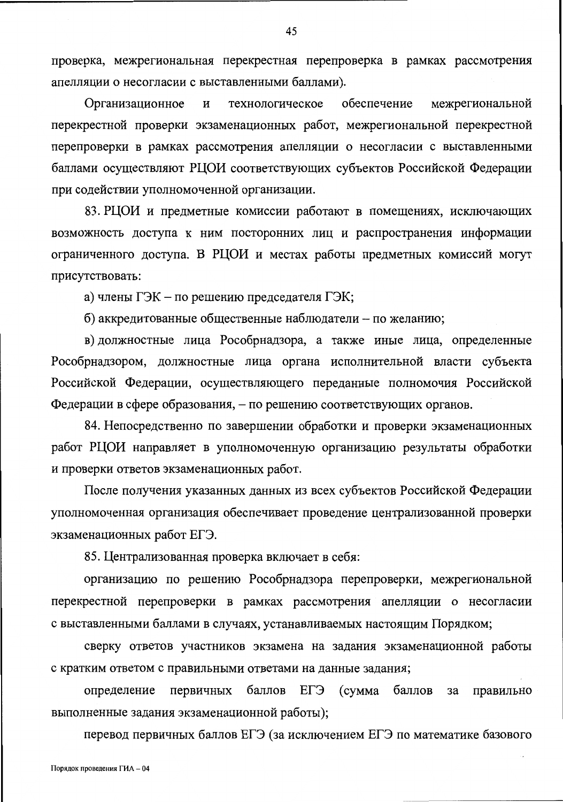проверка, межрегиональная перекрестная перепроверка в рамках рассмотрения апелляции о несогласии с выставленными баллами).

Организационное технологическое обеспечение межрегиональной И перекрестной проверки экзаменационных работ, межрегиональной перекрестной перепроверки в рамках рассмотрения апелляции о несогласии с выставленными баллами осуществляют РЦОИ соответствующих субъектов Российской Федерации при содействии уполномоченной организации.

83. РЦОИ и предметные комиссии работают в помещениях, исключающих возможность доступа к ним посторонних лиц и распространения информации ограниченного доступа. В РЦОИ и местах работы предметных комиссий могут присутствовать:

а) члены ГЭК – по решению председателя ГЭК;

б) аккредитованные общественные наблюдатели - по желанию;

в) должностные лица Рособрнадзора, а также иные лица, определенные Рособрнадзором, должностные лица органа исполнительной власти субъекта Российской Федерации, осуществляющего переданные полномочия Российской Федерации в сфере образования, – по решению соответствующих органов.

84. Непосредственно по завершении обработки и проверки экзаменационных работ РЦОИ направляет в уполномоченную организацию результаты обработки и проверки ответов экзаменационных работ.

После получения указанных данных из всех субъектов Российской Федерации уполномоченная организация обеспечивает проведение централизованной проверки экзаменационных работ ЕГЭ.

85. Централизованная проверка включает в себя:

организацию по решению Рособрнадзора перепроверки, межрегиональной перекрестной перепроверки в рамках рассмотрения апелляции о несогласии с выставленными баллами в случаях, устанавливаемых настоящим Порядком;

сверку ответов участников экзамена на задания экзаменационной работы с кратким ответом с правильными ответами на данные задания;

баллов ЕГЭ (сумма баллов определение первичных за правильно выполненные задания экзаменационной работы);

перевод первичных баллов ЕГЭ (за исключением ЕГЭ по математике базового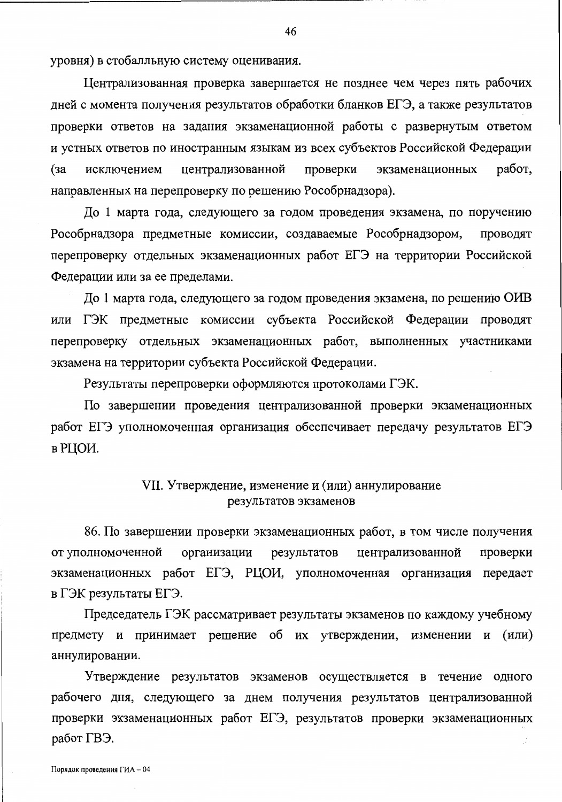уровня) в стобалльную систему оценивания.

Централизованная проверка завершается не позднее чем через пять рабочих дней с момента получения результатов обработки бланков ЕГЭ, а также результатов проверки ответов на задания экзаменационной работы с развернутым ответом и устных ответов по иностранным языкам из всех субъектов Российской Федерации централизованной работ, проверки экзаменационных  $(a^2)$ исключением направленных на перепроверку по решению Рособрнадзора).

До 1 марта года, следующего за годом проведения экзамена, по поручению Рособрнадзора предметные комиссии, создаваемые Рособрнадзором, ПРОВОДЯТ перепроверку отдельных экзаменационных работ ЕГЭ на территории Российской Федерации или за ее пределами.

До 1 марта года, следующего за годом проведения экзамена, по решению ОИВ или ГЭК предметные комиссии субъекта Российской Федерации проводят перепроверку отдельных экзаменационных работ, выполненных участниками экзамена на территории субъекта Российской Федерации.

Результаты перепроверки оформляются протоколами ГЭК.

По завершении проведения централизованной проверки экзаменационных работ ЕГЭ уполномоченная организация обеспечивает передачу результатов ЕГЭ в РЦОИ.

## VII. Утверждение, изменение и (или) аннулирование результатов экзаменов

86. По завершении проверки экзаменационных работ, в том числе получения от уполномоченной организации результатов централизованной проверки экзаменационных работ ЕГЭ, РЦОИ, уполномоченная организация передает в ГЭК результаты ЕГЭ.

Председатель ГЭК рассматривает результаты экзаменов по каждому учебному предмету и принимает решение об их утверждении, изменении и (или) аннулировании.

Утверждение результатов экзаменов осуществляется в течение одного рабочего дня, следующего за днем получения результатов централизованной проверки экзаменационных работ ЕГЭ, результатов проверки экзаменационных работ ГВЭ.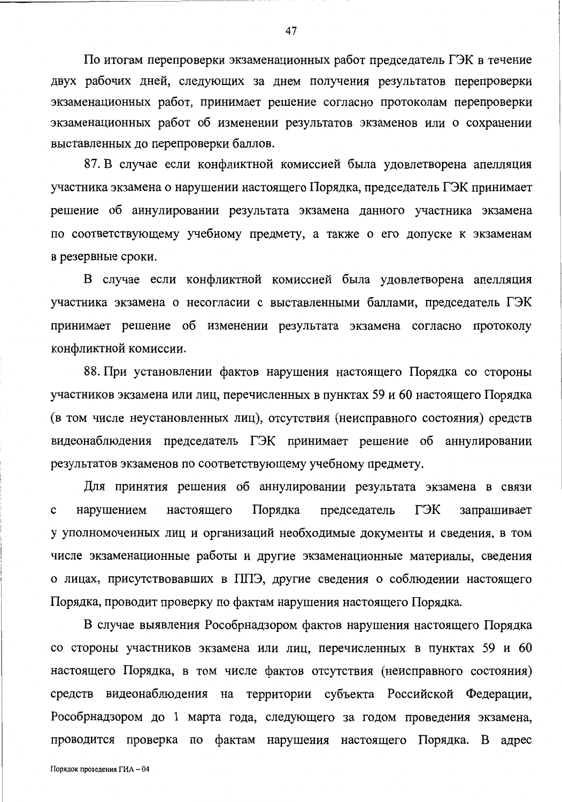По итогам перепроверки экзаменационных работ председатель ГЭК в течение двух рабочих дней, следующих за днем получения результатов перепроверки экзаменационных работ, принимает решение согласно протоколам перепроверки экзаменационных работ об изменении результатов экзаменов или о сохранении выставленных до перепроверки баллов.

87. В случае если конфликтной комиссией была удовлетворена апелляция участника экзамена о нарушении настоящего Порядка, председатель ГЭК принимает решение об аннулировании результата экзамена данного участника экзамена по соответствующему учебному предмету, а также о его допуске к экзаменам в резервные сроки.

В случае если конфликтной комиссией была удовлетворена апелляция участника экзамена о несогласии с выставленными баллами, председатель ГЭК принимает решение об изменении результата экзамена согласно протоколу конфликтной комиссии.

88. При установлении фактов нарушения настоящего Порядка со стороны участников экзамена или лиц, перечисленных в пунктах 59 и 60 настоящего Порядка (в том числе неустановленных лиц), отсутствия (неисправного состояния) средств видеонаблюдения председатель ГЭК принимает решение об аннулировании результатов экзаменов по соответствующему учебному предмету.

Для принятия решения об аннулировании результата экзамена в связи Порядка председатель ГЭК нарушением настоящего запрашивает  $\mathbf c$ у уполномоченных лиц и организаций необходимые документы и сведения, в том числе экзаменационные работы и другие экзаменационные материалы, сведения о лицах, присутствовавших в ППЭ, другие сведения о соблюдении настоящего Порядка, проводит проверку по фактам нарушения настоящего Порядка.

В случае выявления Рособрнадзором фактов нарушения настоящего Порядка со стороны участников экзамена или лиц, перечисленных в пунктах 59 и 60 настоящего Порядка, в том числе фактов отсутствия (неисправного состояния) средств видеонаблюдения на территории субъекта Российской Федерации, Рособрнадзором до 1 марта года, следующего за годом проведения экзамена, проводится проверка по фактам нарушения настоящего Порядка. В адрес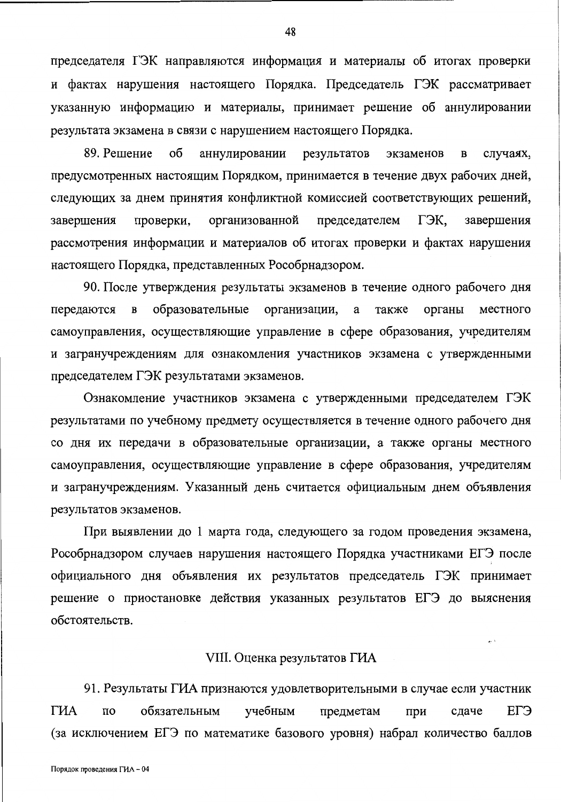председателя ГЭК направляются информация и материалы об итогах проверки и фактах нарушения настоящего Порядка. Председатель ГЭК рассматривает указанную информацию и материалы, принимает решение об аннулировании результата экзамена в связи с нарушением настоящего Порядка.

89. Решение об аннулировании результатов экзаменов  $\mathbf B$ случаях, предусмотренных настоящим Порядком, принимается в течение двух рабочих дней, следующих за днем принятия конфликтной комиссией соответствующих решений, ГЭК, завершения проверки, организованной председателем завершения рассмотрения информации и материалов об итогах проверки и фактах нарушения настоящего Порядка, представленных Рособрнадзором.

90. После утверждения результаты экзаменов в течение одного рабочего дня образовательные организации,  $\mathbf{a}$ также органы местного передаются  $\, {\bf B}$ самоуправления, осуществляющие управление в сфере образования, учредителям и загранучреждениям для ознакомления участников экзамена с утвержденными председателем ГЭК результатами экзаменов.

Ознакомление участников экзамена с утвержденными председателем ГЭК результатами по учебному предмету осуществляется в течение одного рабочего дня со дня их передачи в образовательные организации, а также органы местного самоуправления, осуществляющие управление в сфере образования, учредителям и загранучреждениям. Указанный день считается официальным днем объявления результатов экзаменов.

При выявлении до 1 марта года, следующего за годом проведения экзамена, Рособрнадзором случаев нарушения настоящего Порядка участниками ЕГЭ после официального дня объявления их результатов председатель ГЭК принимает решение о приостановке действия указанных результатов ЕГЭ до выяснения обстоятельств.

### VIII. Оценка результатов ГИА

91. Результаты ГИА признаются удовлетворительными в случае если участник **ГИА** ЕГЭ обязательным  $\overline{10}$ учебным предметам при сдаче (за исключением ЕГЭ по математике базового уровня) набрал количество баллов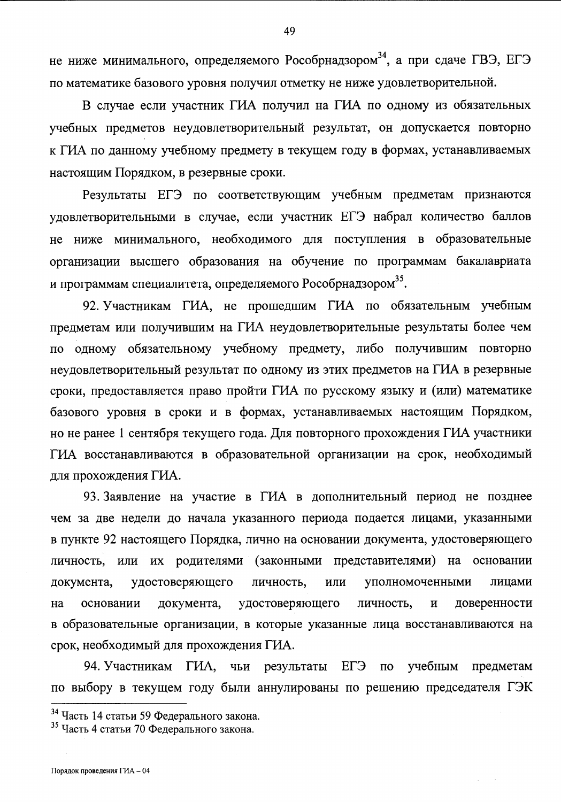не ниже минимального, определяемого Рособрнадзором<sup>34</sup>, а при сдаче ГВЭ, ЕГЭ по математике базового уровня получил отметку не ниже удовлетворительной.

В случае если участник ГИА получил на ГИА по одному из обязательных учебных предметов неудовлетворительный результат, он допускается повторно к ГИА по данному учебному предмету в текущем году в формах, устанавливаемых настоящим Порядком, в резервные сроки.

Результаты ЕГЭ по соответствующим учебным предметам признаются удовлетворительными в случае, если участник ЕГЭ набрал количество баллов не ниже минимального, необходимого для поступления в образовательные организации высшего образования на обучение по программам бакалавриата и программам специалитета, определяемого Рособрнадзором<sup>35</sup>.

92. Участникам ГИА, не прошедшим ГИА по обязательным учебным предметам или получившим на ГИА неудовлетворительные результаты более чем по одному обязательному учебному предмету, либо получившим повторно неудовлетворительный результат по одному из этих предметов на ГИА в резервные сроки, предоставляется право пройти ГИА по русскому языку и (или) математике базового уровня в сроки и в формах, устанавливаемых настоящим Порядком, но не ранее 1 сентября текущего года. Для повторного прохождения ГИА участники ГИА восстанавливаются в образовательной организации на срок, необходимый для прохождения ГИА.

93. Заявление на участие в ГИА в дополнительный период не позднее чем за две недели до начала указанного периода подается лицами, указанными в пункте 92 настоящего Порядка, лично на основании документа, удостоверяющего личность, или их родителями (законными представителями) на основании документа, удостоверяющего личность, или уполномоченными лицами на основании документа, удостоверяющего личность,  $\overline{\mathbf{M}}$ доверенности в образовательные организации, в которые указанные лица восстанавливаются на срок, необходимый для прохождения ГИА.

94. Участникам ГИА, чьи результаты **ELA**  $\Pi$ O учебным предметам по выбору в текущем году были аннулированы по решению председателя ГЭК

<sup>&</sup>lt;sup>34</sup> Часть 14 статьи 59 Федерального закона.

<sup>&</sup>lt;sup>35</sup> Часть 4 статьи 70 Федерального закона.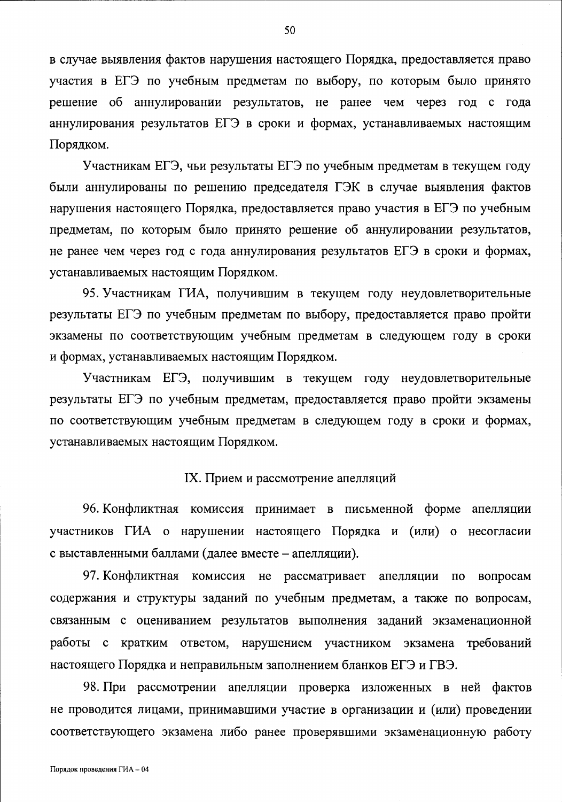в случае выявления фактов нарушения настоящего Порядка, предоставляется право участия в ЕГЭ по учебным предметам по выбору, по которым было принято решение об аннулировании результатов, не ранее чем через год с года аннулирования результатов ЕГЭ в сроки и формах, устанавливаемых настоящим Порядком.

Участникам ЕГЭ, чьи результаты ЕГЭ по учебным предметам в текущем году были аннулированы по решению председателя ГЭК в случае выявления фактов нарушения настоящего Порядка, предоставляется право участия в ЕГЭ по учебным предметам, по которым было принято решение об аннулировании результатов, не ранее чем через год с года аннулирования результатов ЕГЭ в сроки и формах, устанавливаемых настоящим Порядком.

95. Участникам ГИА, получившим в текущем году неудовлетворительные результаты ЕГЭ по учебным предметам по выбору, предоставляется право пройти экзамены по соответствующим учебным предметам в следующем году в сроки и формах, устанавливаемых настоящим Порядком.

Участникам ЕГЭ, получившим в текущем году неудовлетворительные результаты ЕГЭ по учебным предметам, предоставляется право пройти экзамены по соответствующим учебным предметам в следующем году в сроки и формах, устанавливаемых настоящим Порядком.

## IX. Прием и рассмотрение апелляций

96. Конфликтная комиссия принимает в письменной форме апелляции участников ГИА о нарушении настоящего Порядка и (или) о несогласии с выставленными баллами (далее вместе - апелляции).

97. Конфликтная комиссия не рассматривает апелляции по вопросам содержания и структуры заданий по учебным предметам, а также по вопросам, связанным с оцениванием результатов выполнения заданий экзаменационной работы с кратким ответом, нарушением участником экзамена требований настоящего Порядка и неправильным заполнением бланков ЕГЭ и ГВЭ.

98. При рассмотрении апелляции проверка изложенных в ней фактов не проводится лицами, принимавшими участие в организации и (или) проведении соответствующего экзамена либо ранее проверявшими экзаменационную работу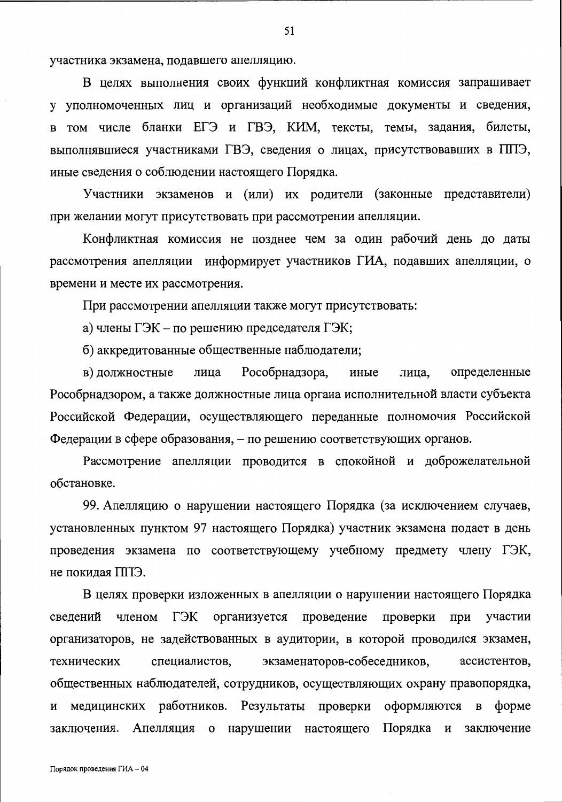участника экзамена, подавшего апелляцию.

В целях выполнения своих функций конфликтная комиссия запрашивает у уполномоченных лиц и организаций необходимые документы и сведения, в том числе бланки ЕГЭ и ГВЭ, КИМ, тексты, темы, задания, билеты, выполнявшиеся участниками ГВЭ, сведения о лицах, присутствовавших в ППЭ, иные сведения о соблюдении настоящего Порядка.

Участники экзаменов и (или) их родители (законные представители) при желании могут присутствовать при рассмотрении апелляции.

Конфликтная комиссия не позднее чем за один рабочий день до даты рассмотрения апелляции информирует участников ГИА, подавших апелляции, о времени и месте их рассмотрения.

При рассмотрении апелляции также могут присутствовать:

а) члены ГЭК - по решению председателя ГЭК;

б) аккредитованные общественные наблюдатели;

Рособрнадзора, в) должностные иные определенные лица лица, Рособрнадзором, а также должностные лица органа исполнительной власти субъекта Российской Федерации, осуществляющего переданные полномочия Российской Федерации в сфере образования, – по решению соответствующих органов.

Рассмотрение апелляции проводится в спокойной и доброжелательной обстановке.

99. Апелляцию о нарушении настоящего Порядка (за исключением случаев, установленных пунктом 97 настоящего Порядка) участник экзамена подает в день проведения экзамена по соответствующему учебному предмету члену ГЭК, не покидая ППЭ.

В целях проверки изложенных в апелляции о нарушении настоящего Порядка членом ГЭК организуется проведение проверки при участии сведений организаторов, не задействованных в аудитории, в которой проводился экзамен, экзаменаторов-собеседников, технических специалистов, ассистентов, общественных наблюдателей, сотрудников, осуществляющих охрану правопорядка, медицинских работников. Результаты проверки оформляются в форме  $\mathbf{M}$ заключения. Апелляция о нарушении настоящего Порядка и заключение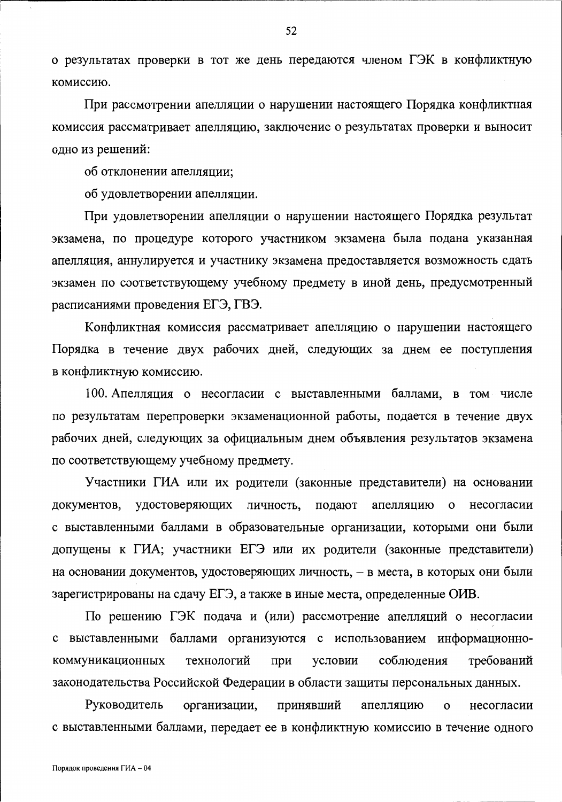о результатах проверки в тот же день передаются членом ГЭК в конфликтную комиссию.

При рассмотрении апелляции о нарушении настоящего Порядка конфликтная комиссия рассматривает апелляцию, заключение о результатах проверки и выносит одно из решений:

об отклонении апелляции;

об удовлетворении апелляции.

При удовлетворении апелляции о нарушении настоящего Порядка результат экзамена, по процедуре которого участником экзамена была подана указанная апелляция, аннулируется и участнику экзамена предоставляется возможность сдать экзамен по соответствующему учебному предмету в иной день, предусмотренный расписаниями проведения ЕГЭ, ГВЭ.

Конфликтная комиссия рассматривает апелляцию о нарушении настоящего Порядка в течение двух рабочих дней, следующих за днем ее поступления в конфликтную комиссию.

100. Апелляция о несогласии с выставленными баллами, в том числе по результатам перепроверки экзаменационной работы, подается в течение двух рабочих дней, следующих за официальным днем объявления результатов экзамена по соответствующему учебному предмету.

Участники ГИА или их родители (законные представители) на основании документов, удостоверяющих личность, подают апелляцию о несогласии с выставленными баллами в образовательные организации, которыми они были допущены к ГИА; участники ЕГЭ или их родители (законные представители) на основании документов, удостоверяющих личность, - в места, в которых они были зарегистрированы на сдачу ЕГЭ, а также в иные места, определенные ОИВ.

По решению ГЭК подача и (или) рассмотрение апелляций о несогласии с выставленными баллами организуются с использованием информационнотехнологий соблюдения требований коммуникационных при условии законодательства Российской Федерации в области защиты персональных данных.

принявший Руководитель организации, апелляцию несогласии  $\mathbf{o}$ с выставленными баллами, передает ее в конфликтную комиссию в течение одного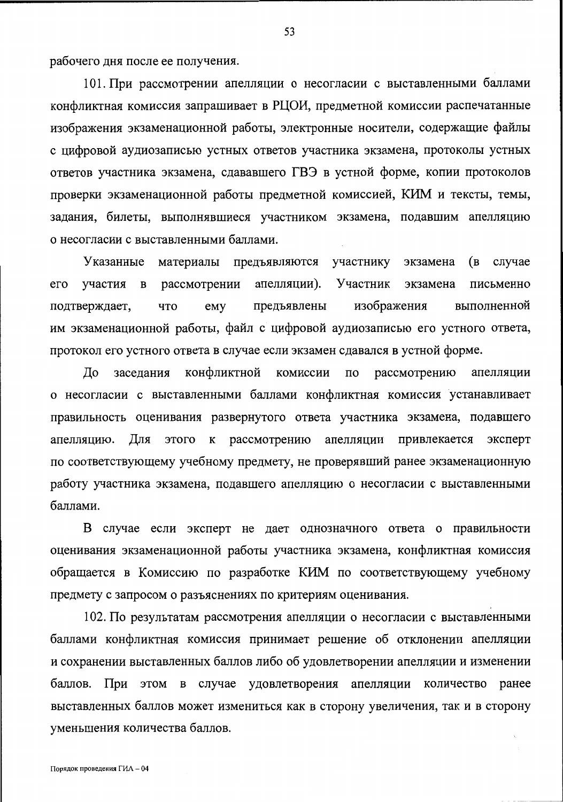рабочего дня после ее получения.

101. При рассмотрении апелляции о несогласии с выставленными баллами конфликтная комиссия запрашивает в РЦОИ, предметной комиссии распечатанные изображения экзаменационной работы, электронные носители, содержащие файлы с цифровой аудиозаписью устных ответов участника экзамена, протоколы устных ответов участника экзамена, сдававшего ГВЭ в устной форме, копии протоколов проверки экзаменационной работы предметной комиссией, КИМ и тексты, темы, задания, билеты, выполнявшиеся участником экзамена, подавшим апелляцию о несогласии с выставленными баллами.

материалы предъявляются участнику случае Указанные экзамена (B Участник  $er<sub>o</sub>$ участия  $\mathbf{B}$ рассмотрении апелляции). экзамена письменно предъявлены изображения выполненной подтверждает, что emy им экзаменационной работы, файл с цифровой аудиозаписью его устного ответа, протокол его устного ответа в случае если экзамен сдавался в устной форме.

рассмотрению До заседания конфликтной комиссии  $\overline{10}$ апелляции о несогласии с выставленными баллами конфликтная комиссия устанавливает правильность оценивания развернутого ответа участника экзамена, подавшего к рассмотрению апелляции привлекается эксперт апелляцию. Для этого по соответствующему учебному предмету, не проверявший ранее экзаменационную работу участника экзамена, подавшего апелляцию о несогласии с выставленными баллами.

В случае если эксперт не дает однозначного ответа о правильности оценивания экзаменационной работы участника экзамена, конфликтная комиссия обращается в Комиссию по разработке КИМ по соответствующему учебному предмету с запросом о разъяснениях по критериям оценивания.

102. По результатам рассмотрения апелляции о несогласии с выставленными баллами конфликтная комиссия принимает решение об отклонении апелляции и сохранении выставленных баллов либо об удовлетворении апелляции и изменении баллов. При этом в случае удовлетворения апелляции количество ранее выставленных баллов может измениться как в сторону увеличения, так и в сторону уменьшения количества баллов.